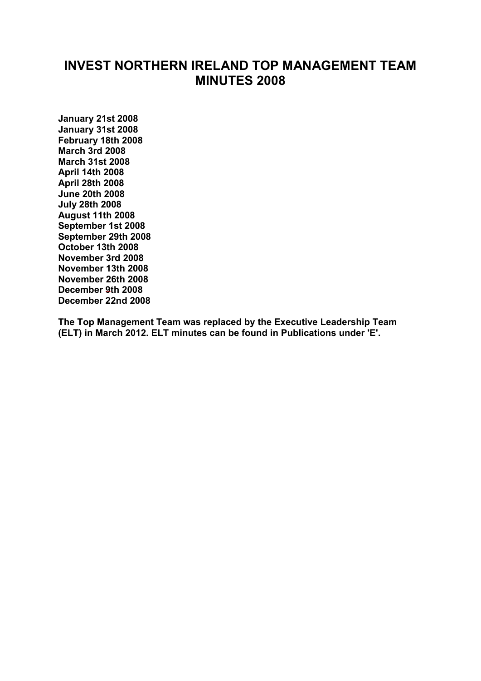# **INVEST NORTHERN IRELAND TOP MANAGEMENT TEAM MINUTES 2008**

**[January 21st 2008](#page-1-0) [January 31st 2008](#page-4-0) [February 18th 2008](#page-6-0) [March 3rd 2008](#page-9-0) [March 31st 2008](#page-12-0) [April 14th 2008](#page-15-0) [April 28th 2008](#page-18-0) [June 20th 2008](#page-21-0) [July 28th 2008](#page-23-0) [August 11th 2008](#page-29-0) [September 1st 2008](#page-33-0) [September 29th 2008](#page-37-0) [October 13th 2008](#page-41-0) [November 3rd 2008](#page-44-0) [November 13th 2008](#page-47-0) [November 26th 2008](#page-53-0) [December 9th 2008](#page-56-0) [December 22nd 2008](#page-59-0)**

**The Top Management Team was replaced by the Executive Leadership Team (ELT) in March 2012. ELT minutes can be found in Publications under 'E'.**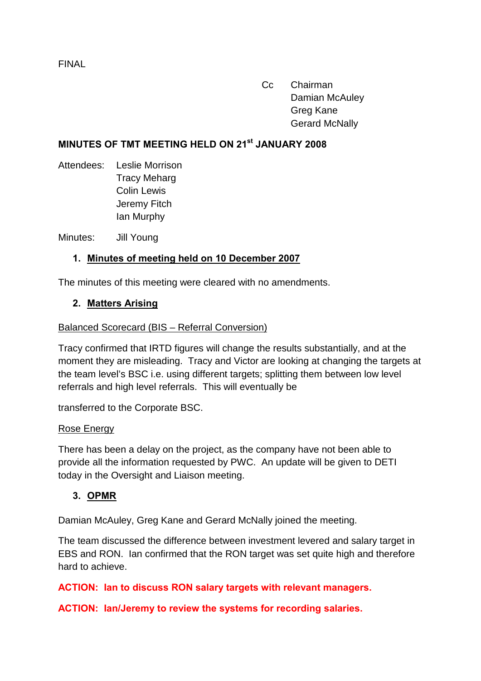Cc Chairman Damian McAuley Greg Kane Gerard McNally

## <span id="page-1-0"></span>**MINUTES OF TMT MEETING HELD ON 21st JANUARY 2008**

Attendees: Leslie Morrison Tracy Meharg Colin Lewis Jeremy Fitch Ian Murphy

Minutes: Jill Young

## **1. Minutes of meeting held on 10 December 2007**

The minutes of this meeting were cleared with no amendments.

## **2. Matters Arising**

## Balanced Scorecard (BIS – Referral Conversion)

Tracy confirmed that IRTD figures will change the results substantially, and at the moment they are misleading. Tracy and Victor are looking at changing the targets at the team level's BSC i.e. using different targets; splitting them between low level referrals and high level referrals. This will eventually be

transferred to the Corporate BSC.

#### Rose Energy

There has been a delay on the project, as the company have not been able to provide all the information requested by PWC. An update will be given to DETI today in the Oversight and Liaison meeting.

## **3. OPMR**

Damian McAuley, Greg Kane and Gerard McNally joined the meeting.

The team discussed the difference between investment levered and salary target in EBS and RON. Ian confirmed that the RON target was set quite high and therefore hard to achieve.

**ACTION: Ian to discuss RON salary targets with relevant managers.**

## **ACTION: Ian/Jeremy to review the systems for recording salaries.**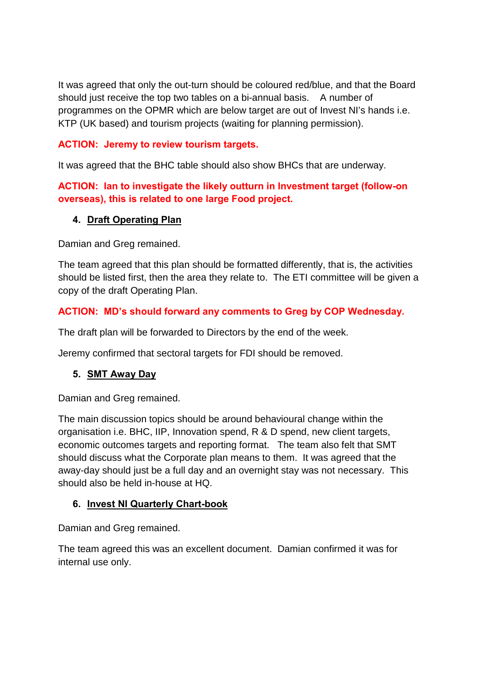It was agreed that only the out-turn should be coloured red/blue, and that the Board should just receive the top two tables on a bi-annual basis. A number of programmes on the OPMR which are below target are out of Invest NI's hands i.e. KTP (UK based) and tourism projects (waiting for planning permission).

## **ACTION: Jeremy to review tourism targets.**

It was agreed that the BHC table should also show BHCs that are underway.

## **ACTION: Ian to investigate the likely outturn in Investment target (follow-on overseas), this is related to one large Food project.**

## **4. Draft Operating Plan**

Damian and Greg remained.

The team agreed that this plan should be formatted differently, that is, the activities should be listed first, then the area they relate to. The ETI committee will be given a copy of the draft Operating Plan.

## **ACTION: MD's should forward any comments to Greg by COP Wednesday.**

The draft plan will be forwarded to Directors by the end of the week.

Jeremy confirmed that sectoral targets for FDI should be removed.

## **5. SMT Away Day**

Damian and Greg remained.

The main discussion topics should be around behavioural change within the organisation i.e. BHC, IIP, Innovation spend, R & D spend, new client targets, economic outcomes targets and reporting format. The team also felt that SMT should discuss what the Corporate plan means to them. It was agreed that the away-day should just be a full day and an overnight stay was not necessary. This should also be held in-house at HQ.

## **6. Invest NI Quarterly Chart-book**

Damian and Greg remained.

The team agreed this was an excellent document. Damian confirmed it was for internal use only.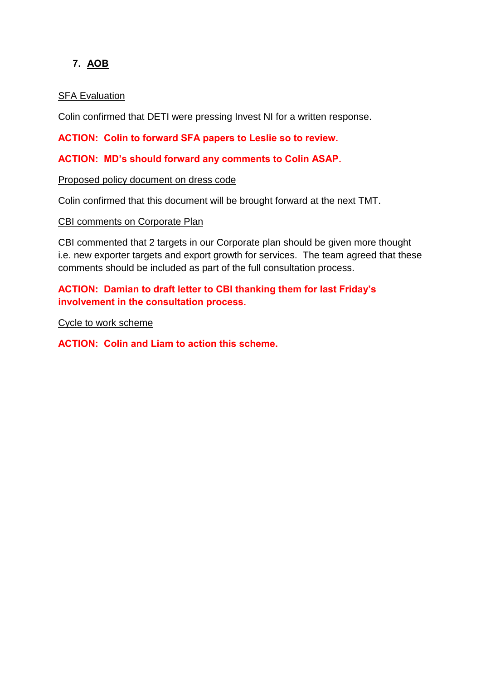## **7. AOB**

#### SFA Evaluation

Colin confirmed that DETI were pressing Invest NI for a written response.

## **ACTION: Colin to forward SFA papers to Leslie so to review.**

## **ACTION: MD's should forward any comments to Colin ASAP.**

#### Proposed policy document on dress code

Colin confirmed that this document will be brought forward at the next TMT.

#### CBI comments on Corporate Plan

CBI commented that 2 targets in our Corporate plan should be given more thought i.e. new exporter targets and export growth for services. The team agreed that these comments should be included as part of the full consultation process.

## **ACTION: Damian to draft letter to CBI thanking them for last Friday's involvement in the consultation process.**

Cycle to work scheme

**ACTION: Colin and Liam to action this scheme.**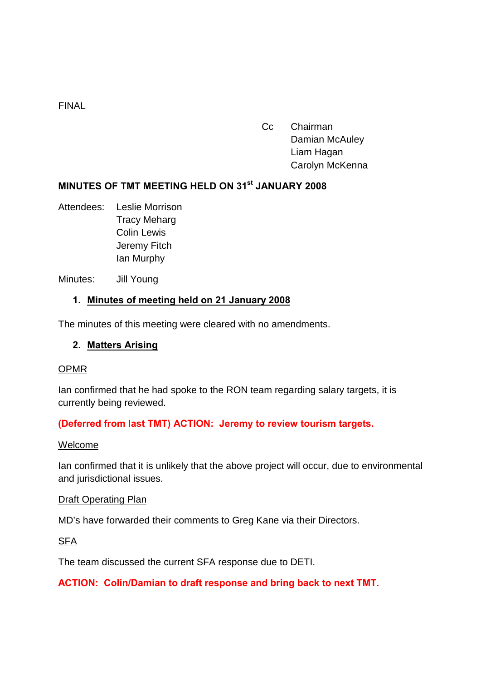Cc Chairman Damian McAuley Liam Hagan Carolyn McKenna

### <span id="page-4-0"></span>**MINUTES OF TMT MEETING HELD ON 31st JANUARY 2008**

Attendees: Leslie Morrison Tracy Meharg Colin Lewis Jeremy Fitch Ian Murphy

Minutes: Jill Young

#### **1. Minutes of meeting held on 21 January 2008**

The minutes of this meeting were cleared with no amendments.

#### **2. Matters Arising**

#### OPMR

Ian confirmed that he had spoke to the RON team regarding salary targets, it is currently being reviewed.

#### **(Deferred from last TMT) ACTION: Jeremy to review tourism targets.**

#### Welcome

Ian confirmed that it is unlikely that the above project will occur, due to environmental and jurisdictional issues.

#### Draft Operating Plan

MD's have forwarded their comments to Greg Kane via their Directors.

#### **SFA**

The team discussed the current SFA response due to DETI.

#### **ACTION: Colin/Damian to draft response and bring back to next TMT.**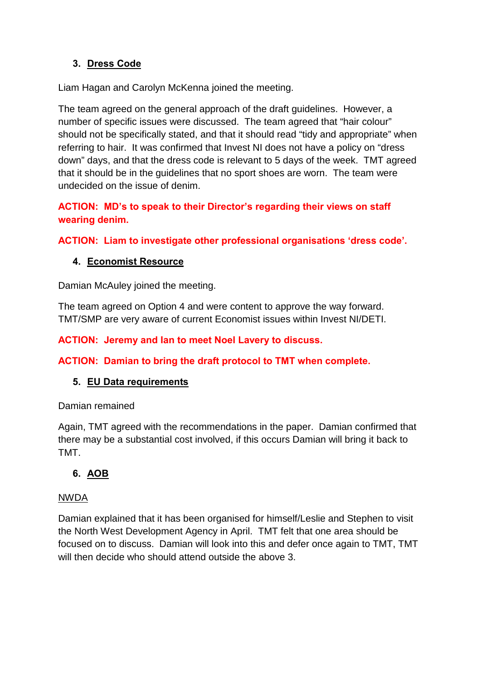## **3. Dress Code**

Liam Hagan and Carolyn McKenna joined the meeting.

The team agreed on the general approach of the draft guidelines. However, a number of specific issues were discussed. The team agreed that "hair colour" should not be specifically stated, and that it should read "tidy and appropriate" when referring to hair. It was confirmed that Invest NI does not have a policy on "dress down" days, and that the dress code is relevant to 5 days of the week. TMT agreed that it should be in the guidelines that no sport shoes are worn. The team were undecided on the issue of denim.

## **ACTION: MD's to speak to their Director's regarding their views on staff wearing denim.**

**ACTION: Liam to investigate other professional organisations 'dress code'.**

## **4. Economist Resource**

Damian McAuley joined the meeting.

The team agreed on Option 4 and were content to approve the way forward. TMT/SMP are very aware of current Economist issues within Invest NI/DETI.

## **ACTION: Jeremy and Ian to meet Noel Lavery to discuss.**

**ACTION: Damian to bring the draft protocol to TMT when complete.**

## **5. EU Data requirements**

## Damian remained

Again, TMT agreed with the recommendations in the paper. Damian confirmed that there may be a substantial cost involved, if this occurs Damian will bring it back to TMT.

## **6. AOB**

## NWDA

Damian explained that it has been organised for himself/Leslie and Stephen to visit the North West Development Agency in April. TMT felt that one area should be focused on to discuss. Damian will look into this and defer once again to TMT, TMT will then decide who should attend outside the above 3.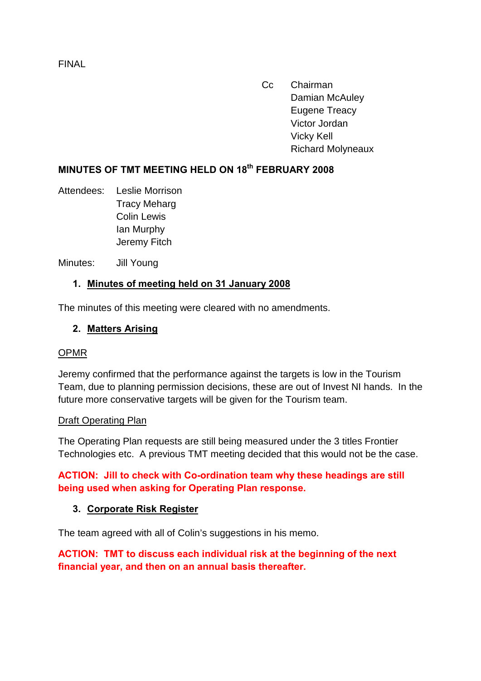Cc Chairman Damian McAuley Eugene Treacy Victor Jordan Vicky Kell Richard Molyneaux

# <span id="page-6-0"></span>**MINUTES OF TMT MEETING HELD ON 18th FEBRUARY 2008**

Attendees: Leslie Morrison Tracy Meharg Colin Lewis Ian Murphy Jeremy Fitch

Minutes: Jill Young

## **1. Minutes of meeting held on 31 January 2008**

The minutes of this meeting were cleared with no amendments.

## **2. Matters Arising**

#### OPMR

Jeremy confirmed that the performance against the targets is low in the Tourism Team, due to planning permission decisions, these are out of Invest NI hands. In the future more conservative targets will be given for the Tourism team.

#### Draft Operating Plan

The Operating Plan requests are still being measured under the 3 titles Frontier Technologies etc. A previous TMT meeting decided that this would not be the case.

## **ACTION: Jill to check with Co-ordination team why these headings are still being used when asking for Operating Plan response.**

## **3. Corporate Risk Register**

The team agreed with all of Colin's suggestions in his memo.

## **ACTION: TMT to discuss each individual risk at the beginning of the next financial year, and then on an annual basis thereafter.**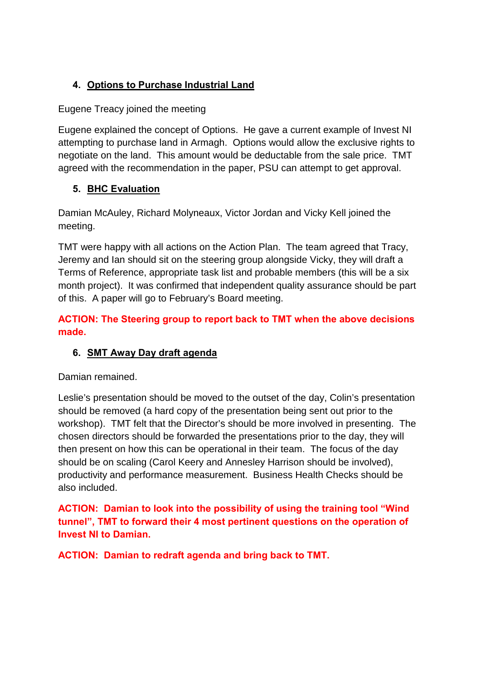## **4. Options to Purchase Industrial Land**

## Eugene Treacy joined the meeting

Eugene explained the concept of Options. He gave a current example of Invest NI attempting to purchase land in Armagh. Options would allow the exclusive rights to negotiate on the land. This amount would be deductable from the sale price. TMT agreed with the recommendation in the paper, PSU can attempt to get approval.

## **5. BHC Evaluation**

Damian McAuley, Richard Molyneaux, Victor Jordan and Vicky Kell joined the meeting.

TMT were happy with all actions on the Action Plan. The team agreed that Tracy, Jeremy and Ian should sit on the steering group alongside Vicky, they will draft a Terms of Reference, appropriate task list and probable members (this will be a six month project). It was confirmed that independent quality assurance should be part of this. A paper will go to February's Board meeting.

**ACTION: The Steering group to report back to TMT when the above decisions made.**

## **6. SMT Away Day draft agenda**

Damian remained.

Leslie's presentation should be moved to the outset of the day, Colin's presentation should be removed (a hard copy of the presentation being sent out prior to the workshop). TMT felt that the Director's should be more involved in presenting. The chosen directors should be forwarded the presentations prior to the day, they will then present on how this can be operational in their team. The focus of the day should be on scaling (Carol Keery and Annesley Harrison should be involved), productivity and performance measurement. Business Health Checks should be also included.

**ACTION: Damian to look into the possibility of using the training tool "Wind tunnel", TMT to forward their 4 most pertinent questions on the operation of Invest NI to Damian.** 

**ACTION: Damian to redraft agenda and bring back to TMT.**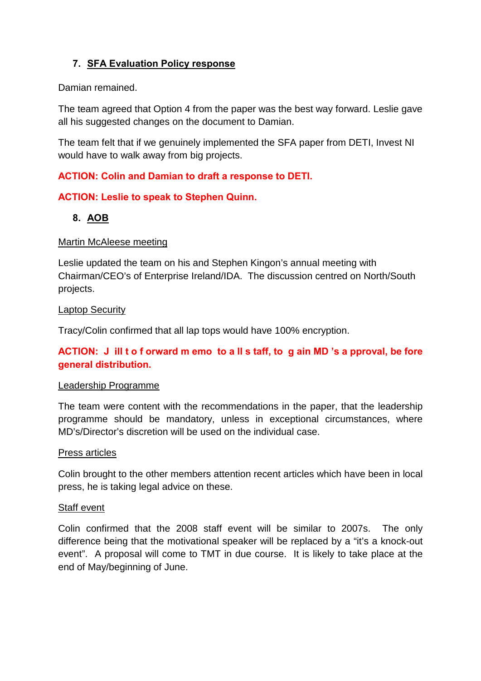## **7. SFA Evaluation Policy response**

Damian remained.

The team agreed that Option 4 from the paper was the best way forward. Leslie gave all his suggested changes on the document to Damian.

The team felt that if we genuinely implemented the SFA paper from DETI, Invest NI would have to walk away from big projects.

## **ACTION: Colin and Damian to draft a response to DETI.**

## **ACTION: Leslie to speak to Stephen Quinn.**

## **8. AOB**

#### Martin McAleese meeting

Leslie updated the team on his and Stephen Kingon's annual meeting with Chairman/CEO's of Enterprise Ireland/IDA. The discussion centred on North/South projects.

#### Laptop Security

Tracy/Colin confirmed that all lap tops would have 100% encryption.

## **ACTION: J ill t o f orward m emo to a ll s taff, to g ain MD 's a pproval, be fore general distribution.**

#### Leadership Programme

The team were content with the recommendations in the paper, that the leadership programme should be mandatory, unless in exceptional circumstances, where MD's/Director's discretion will be used on the individual case.

#### Press articles

Colin brought to the other members attention recent articles which have been in local press, he is taking legal advice on these.

#### Staff event

Colin confirmed that the 2008 staff event will be similar to 2007s. The only difference being that the motivational speaker will be replaced by a "it's a knock-out event". A proposal will come to TMT in due course. It is likely to take place at the end of May/beginning of June.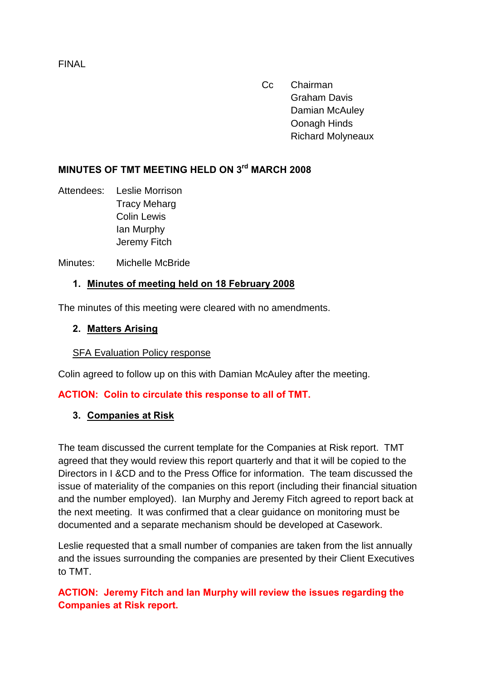Cc Chairman Graham Davis Damian McAuley Oonagh Hinds Richard Molyneaux

# <span id="page-9-0"></span>**MINUTES OF TMT MEETING HELD ON 3rd MARCH 2008**

Attendees: Leslie Morrison Tracy Meharg Colin Lewis Ian Murphy Jeremy Fitch

Minutes: Michelle McBride

## **1. Minutes of meeting held on 18 February 2008**

The minutes of this meeting were cleared with no amendments.

#### **2. Matters Arising**

#### SFA Evaluation Policy response

Colin agreed to follow up on this with Damian McAuley after the meeting.

#### **ACTION: Colin to circulate this response to all of TMT.**

#### **3. Companies at Risk**

The team discussed the current template for the Companies at Risk report. TMT agreed that they would review this report quarterly and that it will be copied to the Directors in I &CD and to the Press Office for information. The team discussed the issue of materiality of the companies on this report (including their financial situation and the number employed). Ian Murphy and Jeremy Fitch agreed to report back at the next meeting. It was confirmed that a clear guidance on monitoring must be documented and a separate mechanism should be developed at Casework.

Leslie requested that a small number of companies are taken from the list annually and the issues surrounding the companies are presented by their Client Executives to TMT.

**ACTION: Jeremy Fitch and Ian Murphy will review the issues regarding the Companies at Risk report.**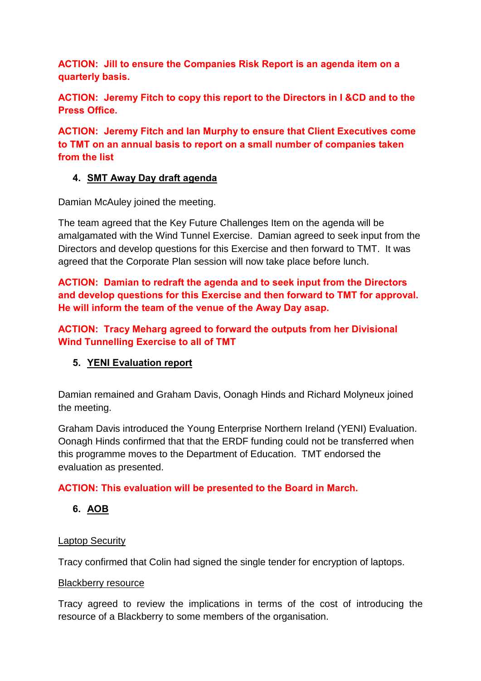**ACTION: Jill to ensure the Companies Risk Report is an agenda item on a quarterly basis.**

**ACTION: Jeremy Fitch to copy this report to the Directors in I &CD and to the Press Office.**

**ACTION: Jeremy Fitch and Ian Murphy to ensure that Client Executives come to TMT on an annual basis to report on a small number of companies taken from the list**

## **4. SMT Away Day draft agenda**

Damian McAuley joined the meeting.

The team agreed that the Key Future Challenges Item on the agenda will be amalgamated with the Wind Tunnel Exercise. Damian agreed to seek input from the Directors and develop questions for this Exercise and then forward to TMT. It was agreed that the Corporate Plan session will now take place before lunch.

**ACTION: Damian to redraft the agenda and to seek input from the Directors and develop questions for this Exercise and then forward to TMT for approval. He will inform the team of the venue of the Away Day asap.** 

**ACTION: Tracy Meharg agreed to forward the outputs from her Divisional Wind Tunnelling Exercise to all of TMT**

## **5. YENI Evaluation report**

Damian remained and Graham Davis, Oonagh Hinds and Richard Molyneux joined the meeting.

Graham Davis introduced the Young Enterprise Northern Ireland (YENI) Evaluation. Oonagh Hinds confirmed that that the ERDF funding could not be transferred when this programme moves to the Department of Education. TMT endorsed the evaluation as presented.

**ACTION: This evaluation will be presented to the Board in March.**

**6. AOB**

## Laptop Security

Tracy confirmed that Colin had signed the single tender for encryption of laptops.

#### Blackberry resource

Tracy agreed to review the implications in terms of the cost of introducing the resource of a Blackberry to some members of the organisation.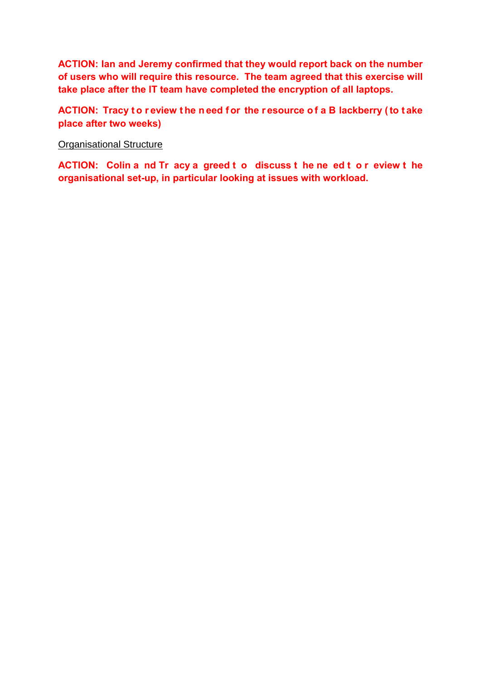**ACTION: Ian and Jeremy confirmed that they would report back on the number of users who will require this resource. The team agreed that this exercise will take place after the IT team have completed the encryption of all laptops.**

ACTION: Tracy to review the need for the resource of a B lackberry (to take **place after two weeks)**

Organisational Structure

**ACTION: Colin a nd Tr acy a greed t o discuss t he ne ed t o r eview t he organisational set-up, in particular looking at issues with workload.**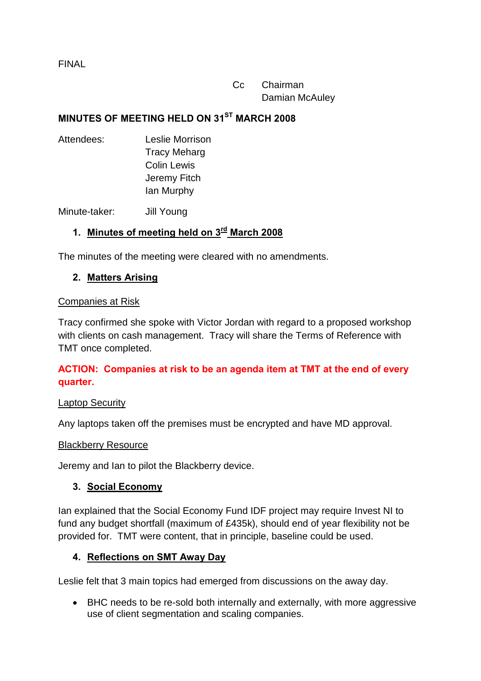Cc Chairman Damian McAuley

## <span id="page-12-0"></span>**MINUTES OF MEETING HELD ON 31ST MARCH 2008**

Attendees: Leslie Morrison Tracy Meharg Colin Lewis Jeremy Fitch Ian Murphy

Minute-taker: Jill Young

## **1. Minutes of meeting held on 3rd March 2008**

The minutes of the meeting were cleared with no amendments.

## **2. Matters Arising**

#### Companies at Risk

Tracy confirmed she spoke with Victor Jordan with regard to a proposed workshop with clients on cash management. Tracy will share the Terms of Reference with TMT once completed.

## **ACTION: Companies at risk to be an agenda item at TMT at the end of every quarter.**

#### Laptop Security

Any laptops taken off the premises must be encrypted and have MD approval.

#### Blackberry Resource

Jeremy and Ian to pilot the Blackberry device.

## **3. Social Economy**

Ian explained that the Social Economy Fund IDF project may require Invest NI to fund any budget shortfall (maximum of £435k), should end of year flexibility not be provided for. TMT were content, that in principle, baseline could be used.

## **4. Reflections on SMT Away Day**

Leslie felt that 3 main topics had emerged from discussions on the away day.

• BHC needs to be re-sold both internally and externally, with more aggressive use of client segmentation and scaling companies.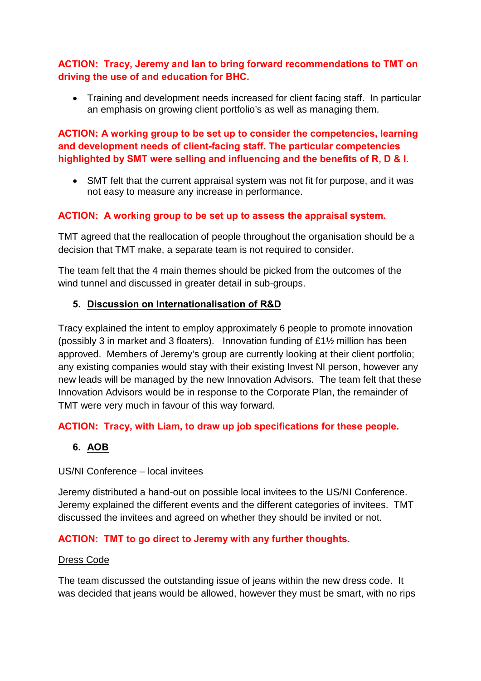## **ACTION: Tracy, Jeremy and Ian to bring forward recommendations to TMT on driving the use of and education for BHC.**

• Training and development needs increased for client facing staff. In particular an emphasis on growing client portfolio's as well as managing them.

## **ACTION: A working group to be set up to consider the competencies, learning and development needs of client-facing staff. The particular competencies highlighted by SMT were selling and influencing and the benefits of R, D & I.**

• SMT felt that the current appraisal system was not fit for purpose, and it was not easy to measure any increase in performance.

## **ACTION: A working group to be set up to assess the appraisal system.**

TMT agreed that the reallocation of people throughout the organisation should be a decision that TMT make, a separate team is not required to consider.

The team felt that the 4 main themes should be picked from the outcomes of the wind tunnel and discussed in greater detail in sub-groups.

## **5. Discussion on Internationalisation of R&D**

Tracy explained the intent to employ approximately 6 people to promote innovation (possibly 3 in market and 3 floaters). Innovation funding of £1½ million has been approved. Members of Jeremy's group are currently looking at their client portfolio; any existing companies would stay with their existing Invest NI person, however any new leads will be managed by the new Innovation Advisors. The team felt that these Innovation Advisors would be in response to the Corporate Plan, the remainder of TMT were very much in favour of this way forward.

## **ACTION: Tracy, with Liam, to draw up job specifications for these people.**

## **6. AOB**

## US/NI Conference – local invitees

Jeremy distributed a hand-out on possible local invitees to the US/NI Conference. Jeremy explained the different events and the different categories of invitees. TMT discussed the invitees and agreed on whether they should be invited or not.

## **ACTION: TMT to go direct to Jeremy with any further thoughts.**

## Dress Code

The team discussed the outstanding issue of jeans within the new dress code. It was decided that jeans would be allowed, however they must be smart, with no rips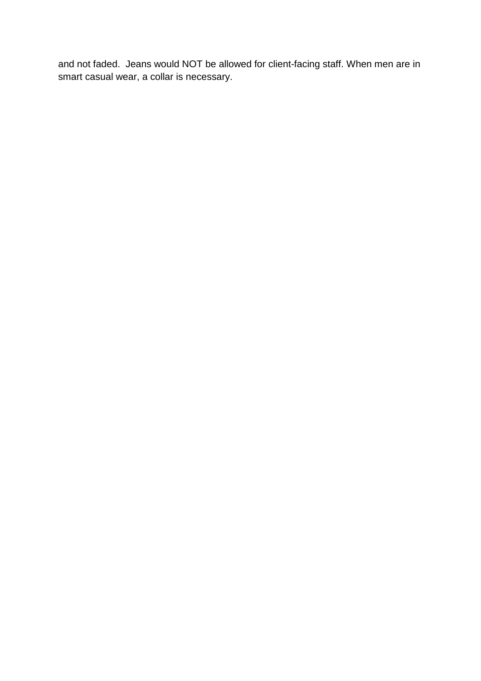and not faded. Jeans would NOT be allowed for client-facing staff. When men are in smart casual wear, a collar is necessary.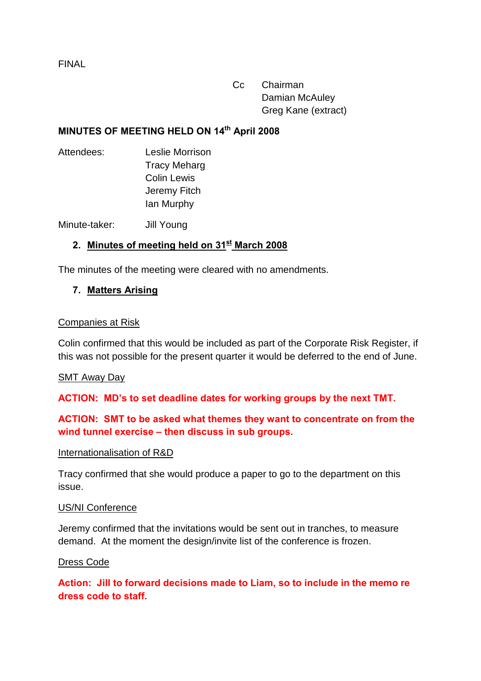Cc Chairman Damian McAuley Greg Kane (extract)

## <span id="page-15-0"></span>**MINUTES OF MEETING HELD ON 14th April 2008**

Attendees: Leslie Morrison Tracy Meharg Colin Lewis Jeremy Fitch Ian Murphy

Minute-taker: Jill Young

## **2. Minutes of meeting held on 31st March 2008**

The minutes of the meeting were cleared with no amendments.

#### **7. Matters Arising**

#### Companies at Risk

Colin confirmed that this would be included as part of the Corporate Risk Register, if this was not possible for the present quarter it would be deferred to the end of June.

#### SMT Away Day

**ACTION: MD's to set deadline dates for working groups by the next TMT.**

## **ACTION: SMT to be asked what themes they want to concentrate on from the wind tunnel exercise – then discuss in sub groups.**

#### Internationalisation of R&D

Tracy confirmed that she would produce a paper to go to the department on this issue.

#### US/NI Conference

Jeremy confirmed that the invitations would be sent out in tranches, to measure demand. At the moment the design/invite list of the conference is frozen.

#### Dress Code

**Action: Jill to forward decisions made to Liam, so to include in the memo re dress code to staff.**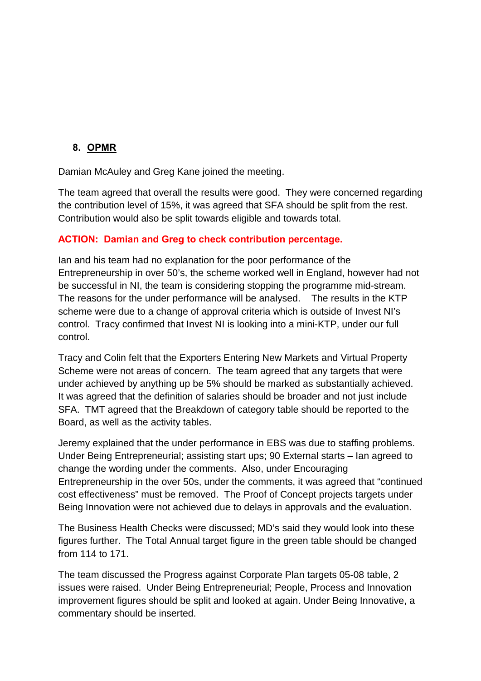## **8. OPMR**

Damian McAuley and Greg Kane joined the meeting.

The team agreed that overall the results were good. They were concerned regarding the contribution level of 15%, it was agreed that SFA should be split from the rest. Contribution would also be split towards eligible and towards total.

## **ACTION: Damian and Greg to check contribution percentage.**

Ian and his team had no explanation for the poor performance of the Entrepreneurship in over 50's, the scheme worked well in England, however had not be successful in NI, the team is considering stopping the programme mid-stream. The reasons for the under performance will be analysed. The results in the KTP scheme were due to a change of approval criteria which is outside of Invest NI's control. Tracy confirmed that Invest NI is looking into a mini-KTP, under our full control.

Tracy and Colin felt that the Exporters Entering New Markets and Virtual Property Scheme were not areas of concern. The team agreed that any targets that were under achieved by anything up be 5% should be marked as substantially achieved. It was agreed that the definition of salaries should be broader and not just include SFA. TMT agreed that the Breakdown of category table should be reported to the Board, as well as the activity tables.

Jeremy explained that the under performance in EBS was due to staffing problems. Under Being Entrepreneurial; assisting start ups; 90 External starts – Ian agreed to change the wording under the comments. Also, under Encouraging Entrepreneurship in the over 50s, under the comments, it was agreed that "continued cost effectiveness" must be removed. The Proof of Concept projects targets under Being Innovation were not achieved due to delays in approvals and the evaluation.

The Business Health Checks were discussed; MD's said they would look into these figures further. The Total Annual target figure in the green table should be changed from 114 to 171.

The team discussed the Progress against Corporate Plan targets 05-08 table, 2 issues were raised. Under Being Entrepreneurial; People, Process and Innovation improvement figures should be split and looked at again. Under Being Innovative, a commentary should be inserted.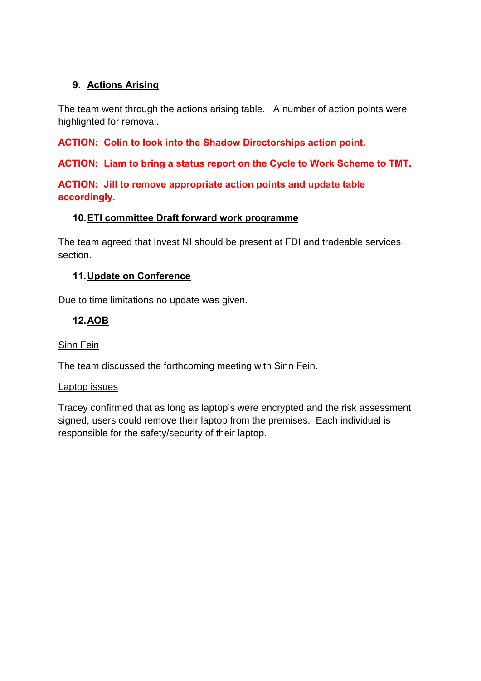## **9. Actions Arising**

The team went through the actions arising table. A number of action points were highlighted for removal.

**ACTION: Colin to look into the Shadow Directorships action point.**

**ACTION: Liam to bring a status report on the Cycle to Work Scheme to TMT.**

**ACTION: Jill to remove appropriate action points and update table accordingly.** 

## **10.ETI committee Draft forward work programme**

The team agreed that Invest NI should be present at FDI and tradeable services section.

## **11.Update on Conference**

Due to time limitations no update was given.

## **12.AOB**

## Sinn Fein

The team discussed the forthcoming meeting with Sinn Fein.

## Laptop issues

Tracey confirmed that as long as laptop's were encrypted and the risk assessment signed, users could remove their laptop from the premises. Each individual is responsible for the safety/security of their laptop.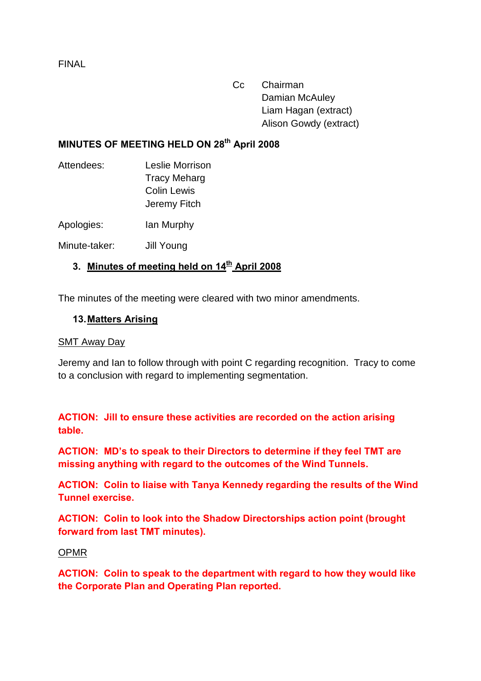Cc Chairman Damian McAuley Liam Hagan (extract) Alison Gowdy (extract)

## <span id="page-18-0"></span>**MINUTES OF MEETING HELD ON 28th April 2008**

Attendees: Leslie Morrison Tracy Meharg Colin Lewis Jeremy Fitch

Apologies: Ian Murphy

Minute-taker: Jill Young

## **3. Minutes of meeting held on 14th April 2008**

The minutes of the meeting were cleared with two minor amendments.

#### **13.Matters Arising**

#### SMT Away Day

Jeremy and Ian to follow through with point C regarding recognition. Tracy to come to a conclusion with regard to implementing segmentation.

**ACTION: Jill to ensure these activities are recorded on the action arising table.**

**ACTION: MD's to speak to their Directors to determine if they feel TMT are missing anything with regard to the outcomes of the Wind Tunnels.**

**ACTION: Colin to liaise with Tanya Kennedy regarding the results of the Wind Tunnel exercise.**

**ACTION: Colin to look into the Shadow Directorships action point (brought forward from last TMT minutes).** 

#### OPMR

**ACTION: Colin to speak to the department with regard to how they would like the Corporate Plan and Operating Plan reported.**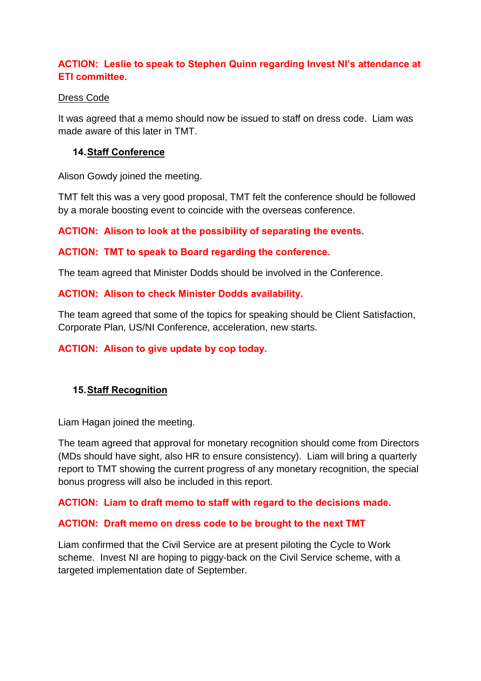## **ACTION: Leslie to speak to Stephen Quinn regarding Invest NI's attendance at ETI committee.**

#### Dress Code

It was agreed that a memo should now be issued to staff on dress code. Liam was made aware of this later in TMT.

## **14.Staff Conference**

Alison Gowdy joined the meeting.

TMT felt this was a very good proposal, TMT felt the conference should be followed by a morale boosting event to coincide with the overseas conference.

**ACTION: Alison to look at the possibility of separating the events.**

## **ACTION: TMT to speak to Board regarding the conference.**

The team agreed that Minister Dodds should be involved in the Conference.

#### **ACTION: Alison to check Minister Dodds availability.**

The team agreed that some of the topics for speaking should be Client Satisfaction, Corporate Plan, US/NI Conference, acceleration, new starts.

## **ACTION: Alison to give update by cop today.**

## **15.Staff Recognition**

Liam Hagan joined the meeting.

The team agreed that approval for monetary recognition should come from Directors (MDs should have sight, also HR to ensure consistency). Liam will bring a quarterly report to TMT showing the current progress of any monetary recognition, the special bonus progress will also be included in this report.

## **ACTION: Liam to draft memo to staff with regard to the decisions made.**

## **ACTION: Draft memo on dress code to be brought to the next TMT**

Liam confirmed that the Civil Service are at present piloting the Cycle to Work scheme. Invest NI are hoping to piggy-back on the Civil Service scheme, with a targeted implementation date of September.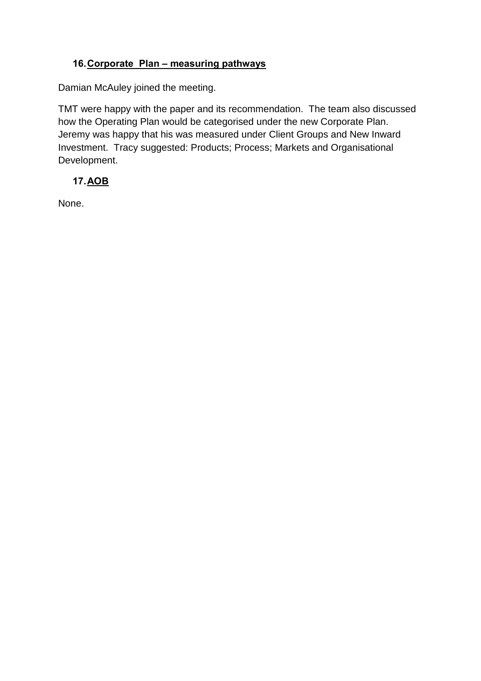## **16.Corporate Plan – measuring pathways**

Damian McAuley joined the meeting.

TMT were happy with the paper and its recommendation. The team also discussed how the Operating Plan would be categorised under the new Corporate Plan. Jeremy was happy that his was measured under Client Groups and New Inward Investment. Tracy suggested: Products; Process; Markets and Organisational Development.

## **17.AOB**

None.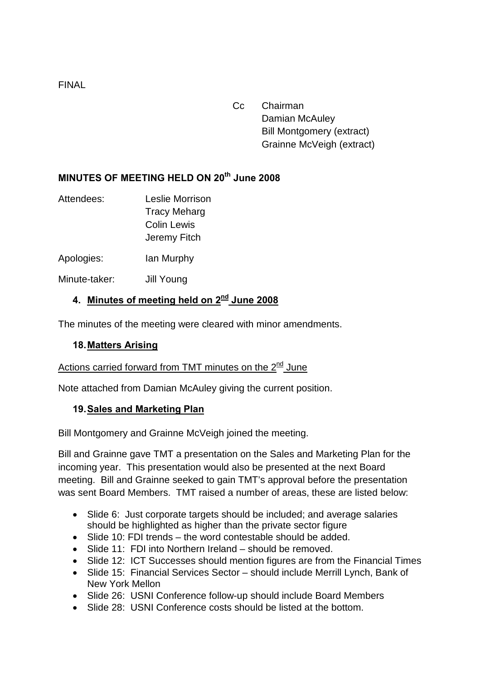Cc Chairman Damian McAuley Bill Montgomery (extract) Grainne McVeigh (extract)

## <span id="page-21-0"></span>**MINUTES OF MEETING HELD ON 20th June 2008**

- Attendees: Leslie Morrison Tracy Meharg Colin Lewis Jeremy Fitch
- Apologies: Ian Murphy

Minute-taker: Jill Young

# **4. Minutes of meeting held on 2nd June 2008**

The minutes of the meeting were cleared with minor amendments.

#### **18.Matters Arising**

#### Actions carried forward from TMT minutes on the 2<sup>nd</sup> June

Note attached from Damian McAuley giving the current position.

#### **19.Sales and Marketing Plan**

Bill Montgomery and Grainne McVeigh joined the meeting.

Bill and Grainne gave TMT a presentation on the Sales and Marketing Plan for the incoming year. This presentation would also be presented at the next Board meeting. Bill and Grainne seeked to gain TMT's approval before the presentation was sent Board Members. TMT raised a number of areas, these are listed below:

- Slide 6: Just corporate targets should be included; and average salaries should be highlighted as higher than the private sector figure
- Slide 10: FDI trends the word contestable should be added.
- Slide 11: FDI into Northern Ireland should be removed.
- Slide 12: ICT Successes should mention figures are from the Financial Times
- Slide 15: Financial Services Sector should include Merrill Lynch, Bank of New York Mellon
- Slide 26: USNI Conference follow-up should include Board Members
- Slide 28: USNI Conference costs should be listed at the bottom.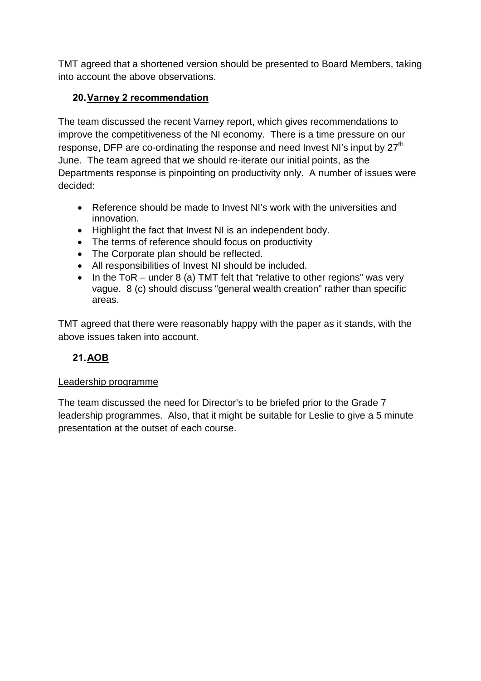TMT agreed that a shortened version should be presented to Board Members, taking into account the above observations.

## **20.Varney 2 recommendation**

The team discussed the recent Varney report, which gives recommendations to improve the competitiveness of the NI economy. There is a time pressure on our response, DFP are co-ordinating the response and need Invest NI's input by 27<sup>th</sup> June. The team agreed that we should re-iterate our initial points, as the Departments response is pinpointing on productivity only. A number of issues were decided:

- Reference should be made to Invest NI's work with the universities and innovation.
- Highlight the fact that Invest NI is an independent body.
- The terms of reference should focus on productivity
- The Corporate plan should be reflected.
- All responsibilities of Invest NI should be included.
- In the ToR under 8 (a) TMT felt that "relative to other regions" was very vague. 8 (c) should discuss "general wealth creation" rather than specific areas.

TMT agreed that there were reasonably happy with the paper as it stands, with the above issues taken into account.

# **21.AOB**

## Leadership programme

The team discussed the need for Director's to be briefed prior to the Grade 7 leadership programmes. Also, that it might be suitable for Leslie to give a 5 minute presentation at the outset of each course.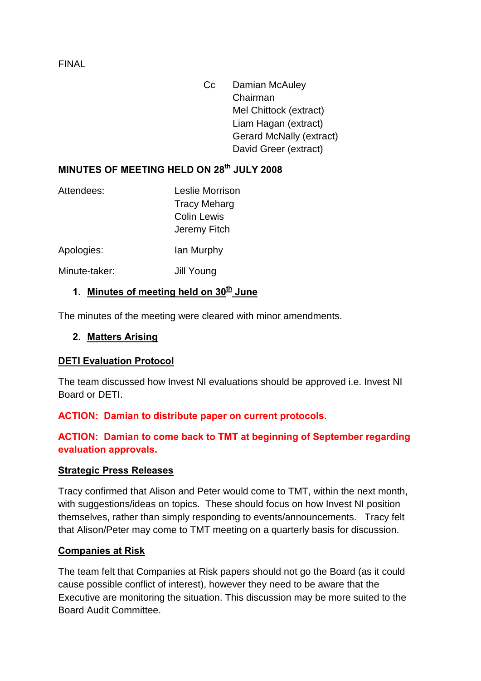Cc Damian McAuley Chairman Mel Chittock (extract) Liam Hagan (extract) Gerard McNally (extract) David Greer (extract)

# <span id="page-23-0"></span>**MINUTES OF MEETING HELD ON 28th JULY 2008**

| Attendees:    | Leslie Morrison<br><b>Tracy Meharg</b><br><b>Colin Lewis</b><br>Jeremy Fitch |
|---------------|------------------------------------------------------------------------------|
| Apologies:    | lan Murphy                                                                   |
| Minute-taker: | Jill Young                                                                   |

## **1. Minutes of meeting held on 30<sup>th</sup> June**

The minutes of the meeting were cleared with minor amendments.

#### **2. Matters Arising**

## **DETI Evaluation Protocol**

The team discussed how Invest NI evaluations should be approved i.e. Invest NI Board or DETI.

**ACTION: Damian to distribute paper on current protocols.**

## **ACTION: Damian to come back to TMT at beginning of September regarding evaluation approvals.**

## **Strategic Press Releases**

Tracy confirmed that Alison and Peter would come to TMT, within the next month, with suggestions/ideas on topics. These should focus on how Invest NI position themselves, rather than simply responding to events/announcements. Tracy felt that Alison/Peter may come to TMT meeting on a quarterly basis for discussion.

#### **Companies at Risk**

The team felt that Companies at Risk papers should not go the Board (as it could cause possible conflict of interest), however they need to be aware that the Executive are monitoring the situation. This discussion may be more suited to the Board Audit Committee.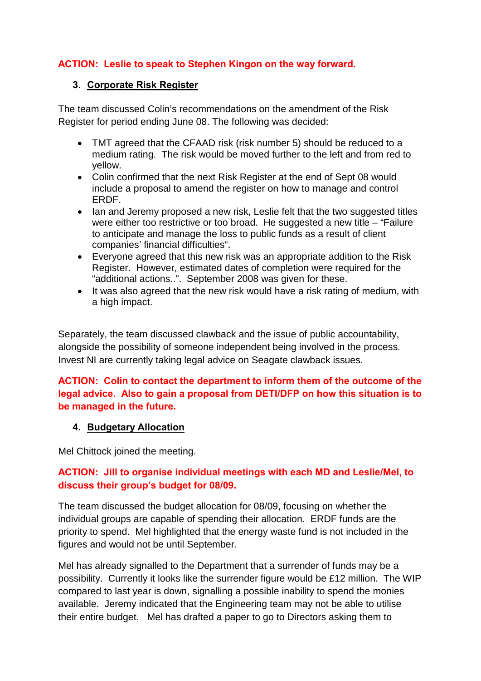## **ACTION: Leslie to speak to Stephen Kingon on the way forward.**

#### **3. Corporate Risk Register**

The team discussed Colin's recommendations on the amendment of the Risk Register for period ending June 08. The following was decided:

- TMT agreed that the CFAAD risk (risk number 5) should be reduced to a medium rating. The risk would be moved further to the left and from red to yellow.
- Colin confirmed that the next Risk Register at the end of Sept 08 would include a proposal to amend the register on how to manage and control ERDF.
- Ian and Jeremy proposed a new risk, Leslie felt that the two suggested titles were either too restrictive or too broad. He suggested a new title – "Failure to anticipate and manage the loss to public funds as a result of client companies' financial difficulties".
- Everyone agreed that this new risk was an appropriate addition to the Risk Register. However, estimated dates of completion were required for the "additional actions..". September 2008 was given for these.
- It was also agreed that the new risk would have a risk rating of medium, with a high impact.

Separately, the team discussed clawback and the issue of public accountability, alongside the possibility of someone independent being involved in the process. Invest NI are currently taking legal advice on Seagate clawback issues.

## **ACTION: Colin to contact the department to inform them of the outcome of the legal advice. Also to gain a proposal from DETI/DFP on how this situation is to be managed in the future.**

#### **4. Budgetary Allocation**

Mel Chittock joined the meeting.

## **ACTION: Jill to organise individual meetings with each MD and Leslie/Mel, to discuss their group's budget for 08/09.**

The team discussed the budget allocation for 08/09, focusing on whether the individual groups are capable of spending their allocation. ERDF funds are the priority to spend. Mel highlighted that the energy waste fund is not included in the figures and would not be until September.

Mel has already signalled to the Department that a surrender of funds may be a possibility. Currently it looks like the surrender figure would be £12 million. The WIP compared to last year is down, signalling a possible inability to spend the monies available. Jeremy indicated that the Engineering team may not be able to utilise their entire budget. Mel has drafted a paper to go to Directors asking them to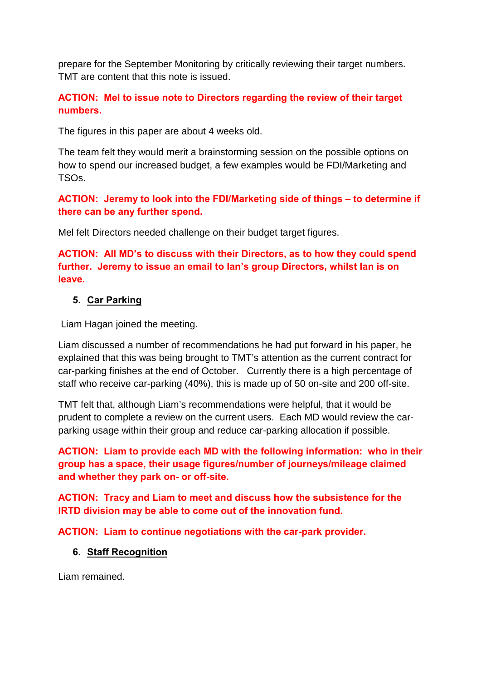prepare for the September Monitoring by critically reviewing their target numbers. TMT are content that this note is issued.

## **ACTION: Mel to issue note to Directors regarding the review of their target numbers.**

The figures in this paper are about 4 weeks old.

The team felt they would merit a brainstorming session on the possible options on how to spend our increased budget, a few examples would be FDI/Marketing and TSOs.

**ACTION: Jeremy to look into the FDI/Marketing side of things – to determine if there can be any further spend.**

Mel felt Directors needed challenge on their budget target figures.

**ACTION: All MD's to discuss with their Directors, as to how they could spend further. Jeremy to issue an email to Ian's group Directors, whilst Ian is on leave.**

## **5. Car Parking**

Liam Hagan joined the meeting.

Liam discussed a number of recommendations he had put forward in his paper, he explained that this was being brought to TMT's attention as the current contract for car-parking finishes at the end of October. Currently there is a high percentage of staff who receive car-parking (40%), this is made up of 50 on-site and 200 off-site.

TMT felt that, although Liam's recommendations were helpful, that it would be prudent to complete a review on the current users. Each MD would review the carparking usage within their group and reduce car-parking allocation if possible.

**ACTION: Liam to provide each MD with the following information: who in their group has a space, their usage figures/number of journeys/mileage claimed and whether they park on- or off-site.**

**ACTION: Tracy and Liam to meet and discuss how the subsistence for the IRTD division may be able to come out of the innovation fund.** 

**ACTION: Liam to continue negotiations with the car-park provider.**

## **6. Staff Recognition**

Liam remained.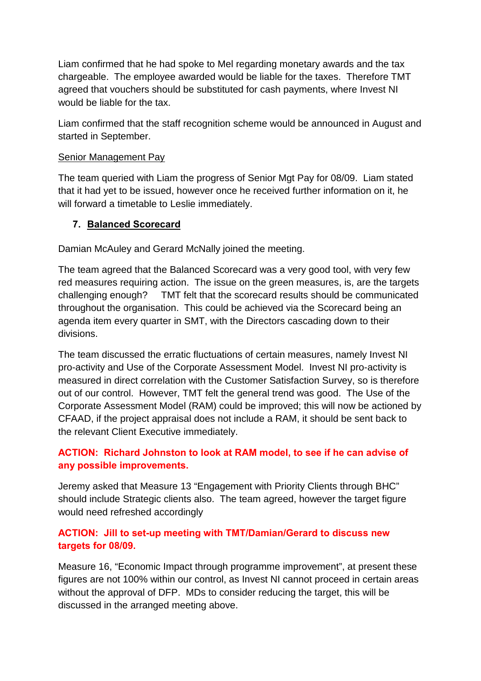Liam confirmed that he had spoke to Mel regarding monetary awards and the tax chargeable. The employee awarded would be liable for the taxes. Therefore TMT agreed that vouchers should be substituted for cash payments, where Invest NI would be liable for the tax.

Liam confirmed that the staff recognition scheme would be announced in August and started in September.

#### Senior Management Pay

The team queried with Liam the progress of Senior Mgt Pay for 08/09. Liam stated that it had yet to be issued, however once he received further information on it, he will forward a timetable to Leslie immediately.

## **7. Balanced Scorecard**

Damian McAuley and Gerard McNally joined the meeting.

The team agreed that the Balanced Scorecard was a very good tool, with very few red measures requiring action. The issue on the green measures, is, are the targets challenging enough? TMT felt that the scorecard results should be communicated throughout the organisation. This could be achieved via the Scorecard being an agenda item every quarter in SMT, with the Directors cascading down to their divisions.

The team discussed the erratic fluctuations of certain measures, namely Invest NI pro-activity and Use of the Corporate Assessment Model. Invest NI pro-activity is measured in direct correlation with the Customer Satisfaction Survey, so is therefore out of our control. However, TMT felt the general trend was good. The Use of the Corporate Assessment Model (RAM) could be improved; this will now be actioned by CFAAD, if the project appraisal does not include a RAM, it should be sent back to the relevant Client Executive immediately.

## **ACTION: Richard Johnston to look at RAM model, to see if he can advise of any possible improvements.**

Jeremy asked that Measure 13 "Engagement with Priority Clients through BHC" should include Strategic clients also. The team agreed, however the target figure would need refreshed accordingly

## **ACTION: Jill to set-up meeting with TMT/Damian/Gerard to discuss new targets for 08/09.**

Measure 16, "Economic Impact through programme improvement", at present these figures are not 100% within our control, as Invest NI cannot proceed in certain areas without the approval of DFP. MDs to consider reducing the target, this will be discussed in the arranged meeting above.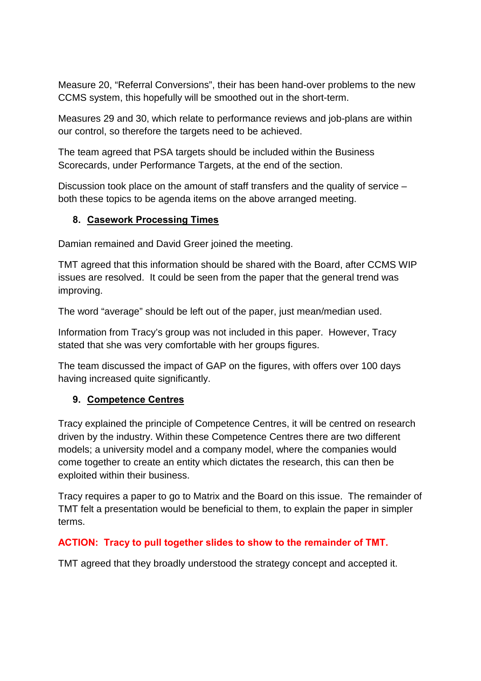Measure 20, "Referral Conversions", their has been hand-over problems to the new CCMS system, this hopefully will be smoothed out in the short-term.

Measures 29 and 30, which relate to performance reviews and job-plans are within our control, so therefore the targets need to be achieved.

The team agreed that PSA targets should be included within the Business Scorecards, under Performance Targets, at the end of the section.

Discussion took place on the amount of staff transfers and the quality of service – both these topics to be agenda items on the above arranged meeting.

## **8. Casework Processing Times**

Damian remained and David Greer joined the meeting.

TMT agreed that this information should be shared with the Board, after CCMS WIP issues are resolved. It could be seen from the paper that the general trend was improving.

The word "average" should be left out of the paper, just mean/median used.

Information from Tracy's group was not included in this paper. However, Tracy stated that she was very comfortable with her groups figures.

The team discussed the impact of GAP on the figures, with offers over 100 days having increased quite significantly.

## **9. Competence Centres**

Tracy explained the principle of Competence Centres, it will be centred on research driven by the industry. Within these Competence Centres there are two different models; a university model and a company model, where the companies would come together to create an entity which dictates the research, this can then be exploited within their business.

Tracy requires a paper to go to Matrix and the Board on this issue. The remainder of TMT felt a presentation would be beneficial to them, to explain the paper in simpler terms.

## **ACTION: Tracy to pull together slides to show to the remainder of TMT.**

TMT agreed that they broadly understood the strategy concept and accepted it.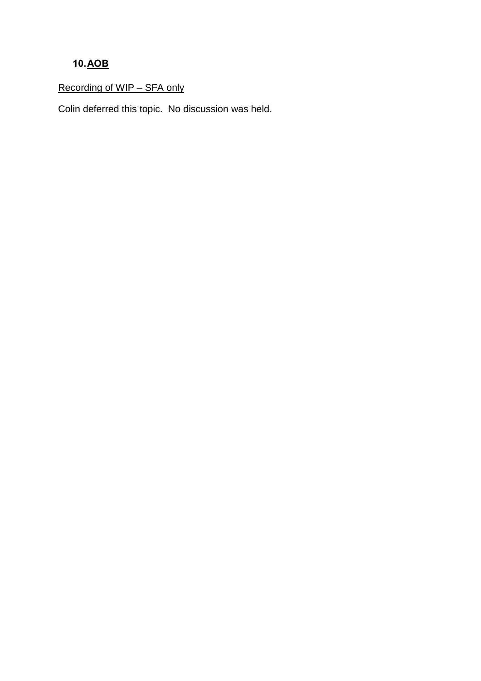# **10.AOB**

# Recording of WIP – SFA only

Colin deferred this topic. No discussion was held.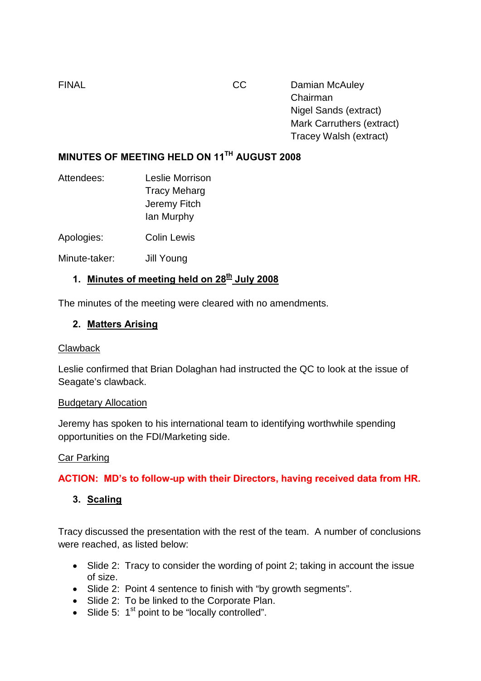<span id="page-29-0"></span>FINAL CC Damian McAuley Chairman Nigel Sands (extract) Mark Carruthers (extract) Tracey Walsh (extract)

# **MINUTES OF MEETING HELD ON 11TH AUGUST 2008**

| Attendees: | Leslie Morrison     |
|------------|---------------------|
|            | <b>Tracy Meharg</b> |
|            | Jeremy Fitch        |
|            | lan Murphy          |

Apologies: Colin Lewis

Minute-taker: Jill Young

## **1. Minutes of meeting held on 28th July 2008**

The minutes of the meeting were cleared with no amendments.

#### **2. Matters Arising**

#### **Clawback**

Leslie confirmed that Brian Dolaghan had instructed the QC to look at the issue of Seagate's clawback.

#### Budgetary Allocation

Jeremy has spoken to his international team to identifying worthwhile spending opportunities on the FDI/Marketing side.

#### Car Parking

#### **ACTION: MD's to follow-up with their Directors, having received data from HR.**

#### **3. Scaling**

Tracy discussed the presentation with the rest of the team. A number of conclusions were reached, as listed below:

- Slide 2: Tracy to consider the wording of point 2; taking in account the issue of size.
- Slide 2: Point 4 sentence to finish with "by growth segments".
- Slide 2: To be linked to the Corporate Plan.
- Slide 5:  $1<sup>st</sup>$  point to be "locally controlled".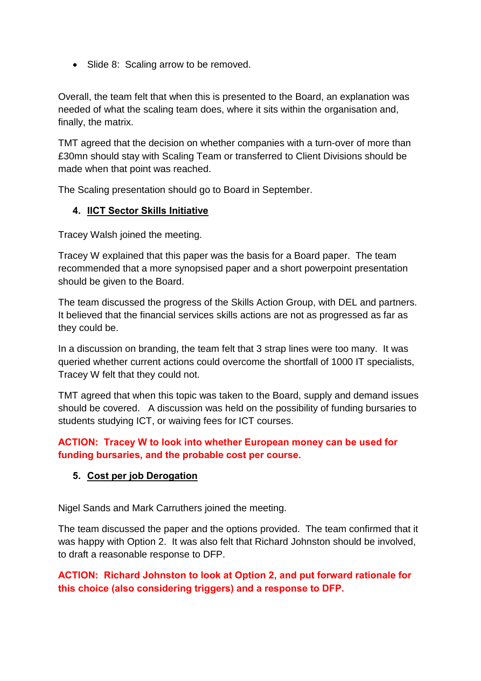• Slide 8: Scaling arrow to be removed.

Overall, the team felt that when this is presented to the Board, an explanation was needed of what the scaling team does, where it sits within the organisation and, finally, the matrix.

TMT agreed that the decision on whether companies with a turn-over of more than £30mn should stay with Scaling Team or transferred to Client Divisions should be made when that point was reached.

The Scaling presentation should go to Board in September.

## **4. IICT Sector Skills Initiative**

Tracey Walsh joined the meeting.

Tracey W explained that this paper was the basis for a Board paper. The team recommended that a more synopsised paper and a short powerpoint presentation should be given to the Board.

The team discussed the progress of the Skills Action Group, with DEL and partners. It believed that the financial services skills actions are not as progressed as far as they could be.

In a discussion on branding, the team felt that 3 strap lines were too many. It was queried whether current actions could overcome the shortfall of 1000 IT specialists, Tracey W felt that they could not.

TMT agreed that when this topic was taken to the Board, supply and demand issues should be covered. A discussion was held on the possibility of funding bursaries to students studying ICT, or waiving fees for ICT courses.

## **ACTION: Tracey W to look into whether European money can be used for funding bursaries, and the probable cost per course.**

## **5. Cost per job Derogation**

Nigel Sands and Mark Carruthers joined the meeting.

The team discussed the paper and the options provided. The team confirmed that it was happy with Option 2. It was also felt that Richard Johnston should be involved, to draft a reasonable response to DFP.

## **ACTION: Richard Johnston to look at Option 2, and put forward rationale for this choice (also considering triggers) and a response to DFP.**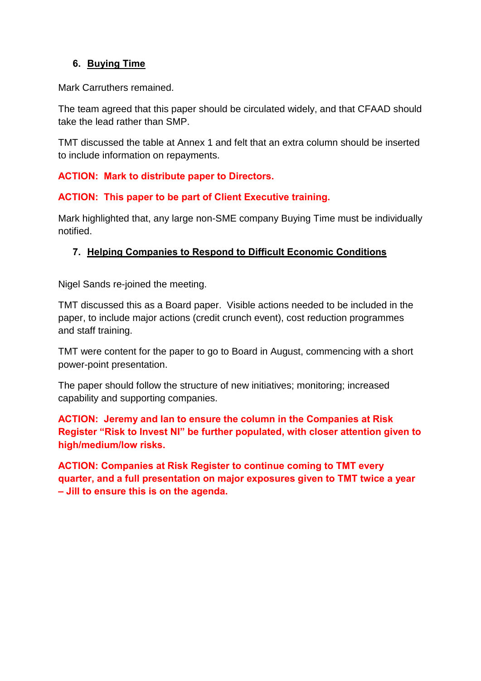### **6. Buying Time**

Mark Carruthers remained.

The team agreed that this paper should be circulated widely, and that CFAAD should take the lead rather than SMP.

TMT discussed the table at Annex 1 and felt that an extra column should be inserted to include information on repayments.

## **ACTION: Mark to distribute paper to Directors.**

#### **ACTION: This paper to be part of Client Executive training.**

Mark highlighted that, any large non-SME company Buying Time must be individually notified.

## **7. Helping Companies to Respond to Difficult Economic Conditions**

Nigel Sands re-joined the meeting.

TMT discussed this as a Board paper. Visible actions needed to be included in the paper, to include major actions (credit crunch event), cost reduction programmes and staff training.

TMT were content for the paper to go to Board in August, commencing with a short power-point presentation.

The paper should follow the structure of new initiatives; monitoring; increased capability and supporting companies.

**ACTION: Jeremy and Ian to ensure the column in the Companies at Risk Register "Risk to Invest NI" be further populated, with closer attention given to high/medium/low risks.**

**ACTION: Companies at Risk Register to continue coming to TMT every quarter, and a full presentation on major exposures given to TMT twice a year – Jill to ensure this is on the agenda.**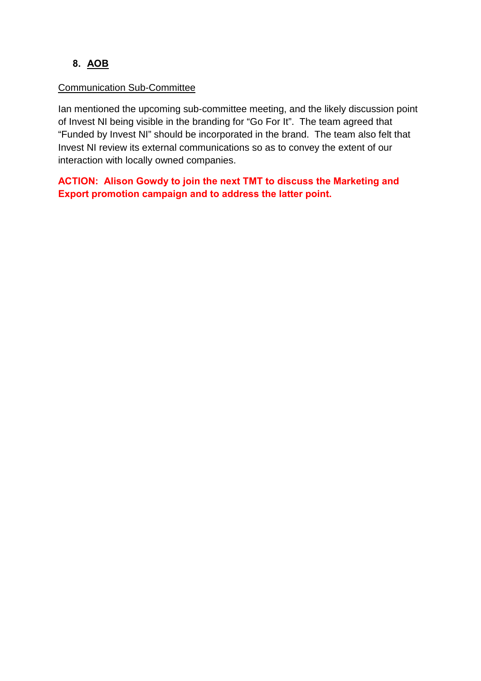## **8. AOB**

### Communication Sub-Committee

Ian mentioned the upcoming sub-committee meeting, and the likely discussion point of Invest NI being visible in the branding for "Go For It". The team agreed that "Funded by Invest NI" should be incorporated in the brand. The team also felt that Invest NI review its external communications so as to convey the extent of our interaction with locally owned companies.

**ACTION: Alison Gowdy to join the next TMT to discuss the Marketing and Export promotion campaign and to address the latter point.**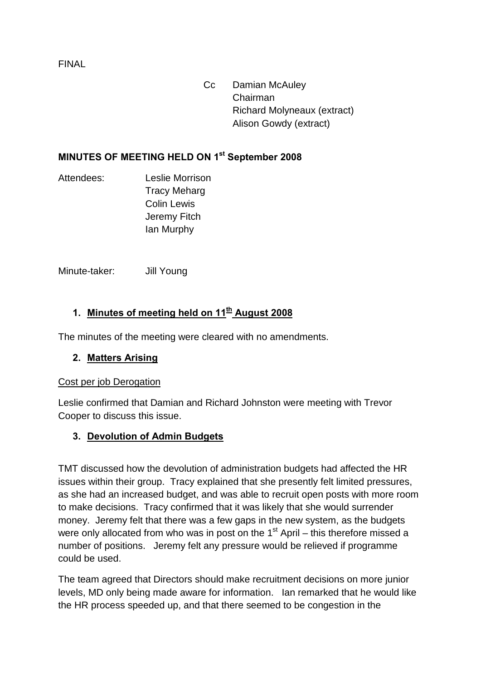Cc Damian McAuley Chairman Richard Molyneaux (extract) Alison Gowdy (extract)

# <span id="page-33-0"></span>**MINUTES OF MEETING HELD ON 1st September 2008**

Attendees: Leslie Morrison Tracy Meharg Colin Lewis Jeremy Fitch Ian Murphy

Minute-taker: Jill Young

## 1. Minutes of meeting held on 11<sup>th</sup> August 2008

The minutes of the meeting were cleared with no amendments.

## **2. Matters Arising**

## Cost per job Derogation

Leslie confirmed that Damian and Richard Johnston were meeting with Trevor Cooper to discuss this issue.

## **3. Devolution of Admin Budgets**

TMT discussed how the devolution of administration budgets had affected the HR issues within their group. Tracy explained that she presently felt limited pressures, as she had an increased budget, and was able to recruit open posts with more room to make decisions. Tracy confirmed that it was likely that she would surrender money. Jeremy felt that there was a few gaps in the new system, as the budgets were only allocated from who was in post on the  $1<sup>st</sup>$  April – this therefore missed a number of positions. Jeremy felt any pressure would be relieved if programme could be used.

The team agreed that Directors should make recruitment decisions on more junior levels, MD only being made aware for information. Ian remarked that he would like the HR process speeded up, and that there seemed to be congestion in the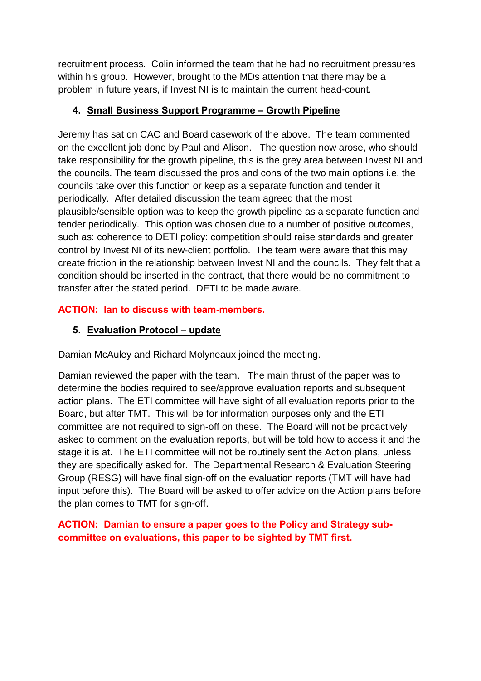recruitment process. Colin informed the team that he had no recruitment pressures within his group. However, brought to the MDs attention that there may be a problem in future years, if Invest NI is to maintain the current head-count.

## **4. Small Business Support Programme – Growth Pipeline**

Jeremy has sat on CAC and Board casework of the above. The team commented on the excellent job done by Paul and Alison. The question now arose, who should take responsibility for the growth pipeline, this is the grey area between Invest NI and the councils. The team discussed the pros and cons of the two main options i.e. the councils take over this function or keep as a separate function and tender it periodically. After detailed discussion the team agreed that the most plausible/sensible option was to keep the growth pipeline as a separate function and tender periodically. This option was chosen due to a number of positive outcomes, such as: coherence to DETI policy: competition should raise standards and greater control by Invest NI of its new-client portfolio. The team were aware that this may create friction in the relationship between Invest NI and the councils. They felt that a condition should be inserted in the contract, that there would be no commitment to transfer after the stated period. DETI to be made aware.

## **ACTION: Ian to discuss with team-members.**

## **5. Evaluation Protocol – update**

Damian McAuley and Richard Molyneaux joined the meeting.

Damian reviewed the paper with the team. The main thrust of the paper was to determine the bodies required to see/approve evaluation reports and subsequent action plans. The ETI committee will have sight of all evaluation reports prior to the Board, but after TMT. This will be for information purposes only and the ETI committee are not required to sign-off on these. The Board will not be proactively asked to comment on the evaluation reports, but will be told how to access it and the stage it is at. The ETI committee will not be routinely sent the Action plans, unless they are specifically asked for. The Departmental Research & Evaluation Steering Group (RESG) will have final sign-off on the evaluation reports (TMT will have had input before this). The Board will be asked to offer advice on the Action plans before the plan comes to TMT for sign-off.

## **ACTION: Damian to ensure a paper goes to the Policy and Strategy subcommittee on evaluations, this paper to be sighted by TMT first.**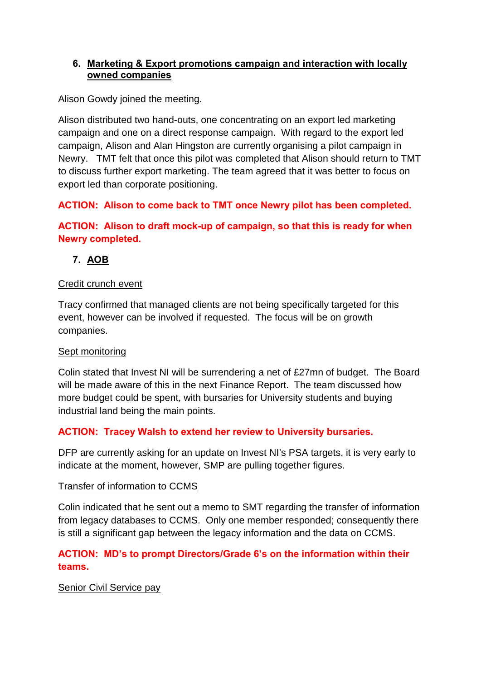#### **6. Marketing & Export promotions campaign and interaction with locally owned companies**

Alison Gowdy joined the meeting.

Alison distributed two hand-outs, one concentrating on an export led marketing campaign and one on a direct response campaign. With regard to the export led campaign, Alison and Alan Hingston are currently organising a pilot campaign in Newry. TMT felt that once this pilot was completed that Alison should return to TMT to discuss further export marketing. The team agreed that it was better to focus on export led than corporate positioning.

**ACTION: Alison to come back to TMT once Newry pilot has been completed.**

**ACTION: Alison to draft mock-up of campaign, so that this is ready for when Newry completed.**

## **7. AOB**

## Credit crunch event

Tracy confirmed that managed clients are not being specifically targeted for this event, however can be involved if requested. The focus will be on growth companies.

## Sept monitoring

Colin stated that Invest NI will be surrendering a net of £27mn of budget. The Board will be made aware of this in the next Finance Report. The team discussed how more budget could be spent, with bursaries for University students and buying industrial land being the main points.

## **ACTION: Tracey Walsh to extend her review to University bursaries.**

DFP are currently asking for an update on Invest NI's PSA targets, it is very early to indicate at the moment, however, SMP are pulling together figures.

## Transfer of information to CCMS

Colin indicated that he sent out a memo to SMT regarding the transfer of information from legacy databases to CCMS. Only one member responded; consequently there is still a significant gap between the legacy information and the data on CCMS.

## **ACTION: MD's to prompt Directors/Grade 6's on the information within their teams.**

## Senior Civil Service pay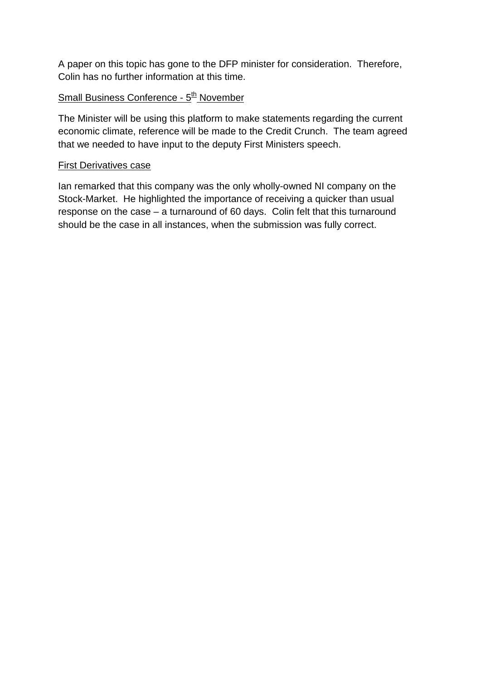A paper on this topic has gone to the DFP minister for consideration. Therefore, Colin has no further information at this time.

## Small Business Conference - 5<sup>th</sup> November

The Minister will be using this platform to make statements regarding the current economic climate, reference will be made to the Credit Crunch. The team agreed that we needed to have input to the deputy First Ministers speech.

#### First Derivatives case

Ian remarked that this company was the only wholly-owned NI company on the Stock-Market. He highlighted the importance of receiving a quicker than usual response on the case – a turnaround of 60 days. Colin felt that this turnaround should be the case in all instances, when the submission was fully correct.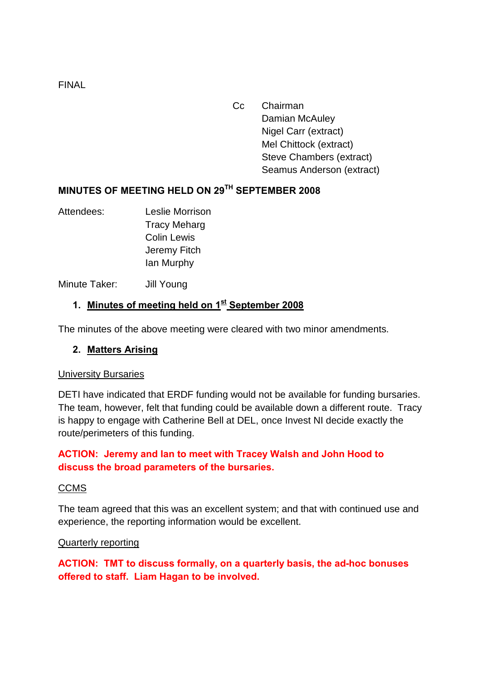Cc Chairman Damian McAuley Nigel Carr (extract) Mel Chittock (extract) Steve Chambers (extract) Seamus Anderson (extract)

## <span id="page-37-0"></span>**MINUTES OF MEETING HELD ON 29TH SEPTEMBER 2008**

Attendees: Leslie Morrison Tracy Meharg Colin Lewis Jeremy Fitch Ian Murphy

Minute Taker: Jill Young

## **1. Minutes of meeting held on 1st September 2008**

The minutes of the above meeting were cleared with two minor amendments.

#### **2. Matters Arising**

#### University Bursaries

DETI have indicated that ERDF funding would not be available for funding bursaries. The team, however, felt that funding could be available down a different route. Tracy is happy to engage with Catherine Bell at DEL, once Invest NI decide exactly the route/perimeters of this funding.

## **ACTION: Jeremy and Ian to meet with Tracey Walsh and John Hood to discuss the broad parameters of the bursaries.**

#### CCMS

The team agreed that this was an excellent system; and that with continued use and experience, the reporting information would be excellent.

#### Quarterly reporting

**ACTION: TMT to discuss formally, on a quarterly basis, the ad-hoc bonuses offered to staff. Liam Hagan to be involved.**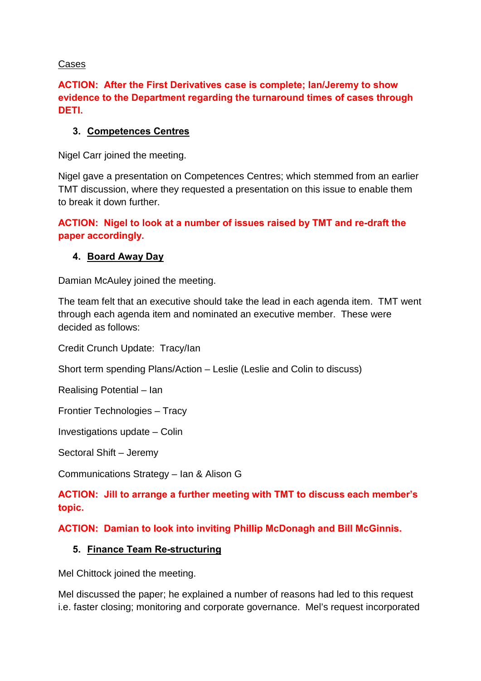#### Cases

## **ACTION: After the First Derivatives case is complete; Ian/Jeremy to show evidence to the Department regarding the turnaround times of cases through DETI.**

## **3. Competences Centres**

Nigel Carr joined the meeting.

Nigel gave a presentation on Competences Centres; which stemmed from an earlier TMT discussion, where they requested a presentation on this issue to enable them to break it down further.

## **ACTION: Nigel to look at a number of issues raised by TMT and re-draft the paper accordingly.**

## **4. Board Away Day**

Damian McAuley joined the meeting.

The team felt that an executive should take the lead in each agenda item. TMT went through each agenda item and nominated an executive member. These were decided as follows:

Credit Crunch Update: Tracy/Ian

Short term spending Plans/Action – Leslie (Leslie and Colin to discuss)

Realising Potential – Ian

Frontier Technologies – Tracy

Investigations update – Colin

Sectoral Shift – Jeremy

Communications Strategy – Ian & Alison G

**ACTION: Jill to arrange a further meeting with TMT to discuss each member's topic.**

**ACTION: Damian to look into inviting Phillip McDonagh and Bill McGinnis.** 

#### **5. Finance Team Re-structuring**

Mel Chittock joined the meeting.

Mel discussed the paper; he explained a number of reasons had led to this request i.e. faster closing; monitoring and corporate governance. Mel's request incorporated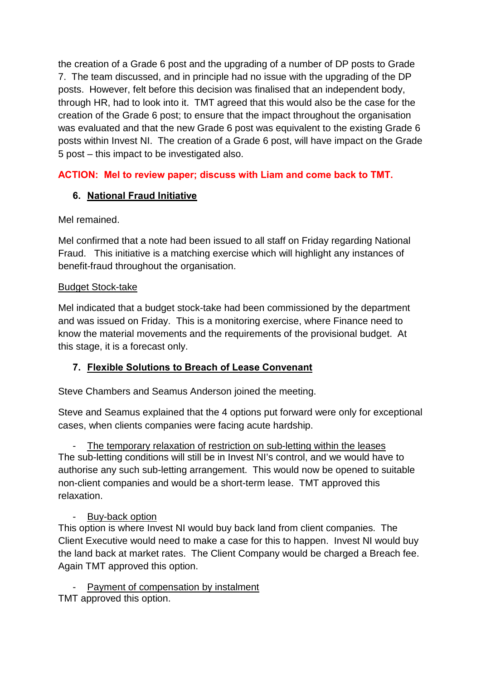the creation of a Grade 6 post and the upgrading of a number of DP posts to Grade 7. The team discussed, and in principle had no issue with the upgrading of the DP posts. However, felt before this decision was finalised that an independent body, through HR, had to look into it. TMT agreed that this would also be the case for the creation of the Grade 6 post; to ensure that the impact throughout the organisation was evaluated and that the new Grade 6 post was equivalent to the existing Grade 6 posts within Invest NI. The creation of a Grade 6 post, will have impact on the Grade 5 post – this impact to be investigated also.

## **ACTION: Mel to review paper; discuss with Liam and come back to TMT.**

## **6. National Fraud Initiative**

Mel remained.

Mel confirmed that a note had been issued to all staff on Friday regarding National Fraud. This initiative is a matching exercise which will highlight any instances of benefit-fraud throughout the organisation.

## Budget Stock-take

Mel indicated that a budget stock-take had been commissioned by the department and was issued on Friday. This is a monitoring exercise, where Finance need to know the material movements and the requirements of the provisional budget. At this stage, it is a forecast only.

## **7. Flexible Solutions to Breach of Lease Convenant**

Steve Chambers and Seamus Anderson joined the meeting.

Steve and Seamus explained that the 4 options put forward were only for exceptional cases, when clients companies were facing acute hardship.

The temporary relaxation of restriction on sub-letting within the leases The sub-letting conditions will still be in Invest NI's control, and we would have to authorise any such sub-letting arrangement. This would now be opened to suitable non-client companies and would be a short-term lease. TMT approved this relaxation.

## Buy-back option

This option is where Invest NI would buy back land from client companies. The Client Executive would need to make a case for this to happen. Invest NI would buy the land back at market rates. The Client Company would be charged a Breach fee. Again TMT approved this option.

Payment of compensation by instalment TMT approved this option.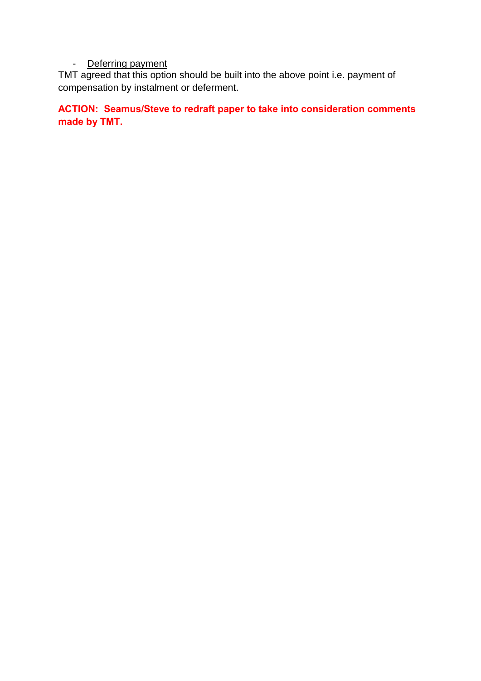## - Deferring payment

TMT agreed that this option should be built into the above point i.e. payment of compensation by instalment or deferment.

**ACTION: Seamus/Steve to redraft paper to take into consideration comments made by TMT.**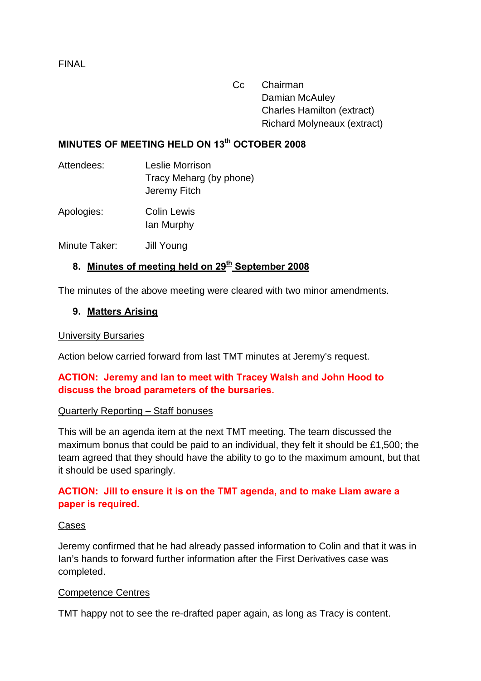Cc Chairman Damian McAuley Charles Hamilton (extract) Richard Molyneaux (extract)

## <span id="page-41-0"></span>**MINUTES OF MEETING HELD ON 13th OCTOBER 2008**

- Attendees: Leslie Morrison Tracy Meharg (by phone) Jeremy Fitch
- Apologies: Colin Lewis Ian Murphy

Minute Taker: Jill Young

## **8. Minutes of meeting held on 29th September 2008**

The minutes of the above meeting were cleared with two minor amendments.

#### **9. Matters Arising**

University Bursaries

Action below carried forward from last TMT minutes at Jeremy's request.

## **ACTION: Jeremy and Ian to meet with Tracey Walsh and John Hood to discuss the broad parameters of the bursaries.**

#### Quarterly Reporting – Staff bonuses

This will be an agenda item at the next TMT meeting. The team discussed the maximum bonus that could be paid to an individual, they felt it should be £1,500; the team agreed that they should have the ability to go to the maximum amount, but that it should be used sparingly.

## **ACTION: Jill to ensure it is on the TMT agenda, and to make Liam aware a paper is required.**

#### Cases

Jeremy confirmed that he had already passed information to Colin and that it was in Ian's hands to forward further information after the First Derivatives case was completed.

## Competence Centres

TMT happy not to see the re-drafted paper again, as long as Tracy is content.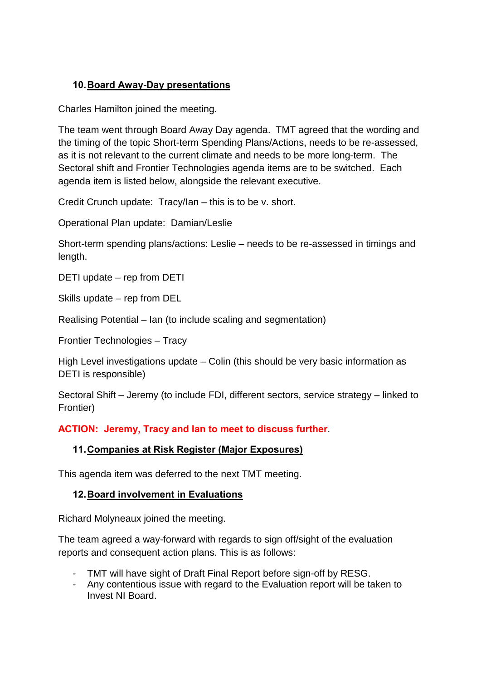## **10.Board Away-Day presentations**

Charles Hamilton joined the meeting.

The team went through Board Away Day agenda. TMT agreed that the wording and the timing of the topic Short-term Spending Plans/Actions, needs to be re-assessed, as it is not relevant to the current climate and needs to be more long-term. The Sectoral shift and Frontier Technologies agenda items are to be switched. Each agenda item is listed below, alongside the relevant executive.

Credit Crunch update: Tracy/Ian – this is to be v. short.

Operational Plan update: Damian/Leslie

Short-term spending plans/actions: Leslie – needs to be re-assessed in timings and length.

DETI update – rep from DETI

Skills update – rep from DEL

Realising Potential – Ian (to include scaling and segmentation)

Frontier Technologies – Tracy

High Level investigations update – Colin (this should be very basic information as DETI is responsible)

Sectoral Shift – Jeremy (to include FDI, different sectors, service strategy – linked to Frontier)

**ACTION: Jeremy, Tracy and Ian to meet to discuss further**.

## **11.Companies at Risk Register (Major Exposures)**

This agenda item was deferred to the next TMT meeting.

## **12.Board involvement in Evaluations**

Richard Molyneaux joined the meeting.

The team agreed a way-forward with regards to sign off/sight of the evaluation reports and consequent action plans. This is as follows:

- TMT will have sight of Draft Final Report before sign-off by RESG.
- Any contentious issue with regard to the Evaluation report will be taken to Invest NI Board.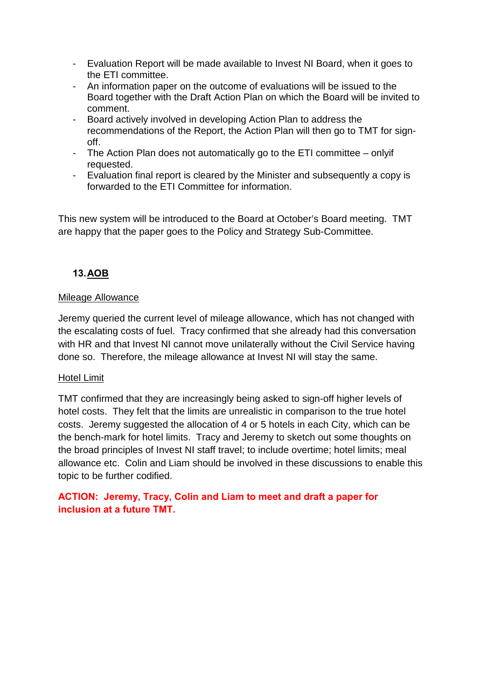- Evaluation Report will be made available to Invest NI Board, when it goes to the ETI committee.
- An information paper on the outcome of evaluations will be issued to the Board together with the Draft Action Plan on which the Board will be invited to comment.
- Board actively involved in developing Action Plan to address the recommendations of the Report, the Action Plan will then go to TMT for signoff.
- The Action Plan does not automatically go to the ETI committee onlyif requested.
- Evaluation final report is cleared by the Minister and subsequently a copy is forwarded to the ETI Committee for information.

This new system will be introduced to the Board at October's Board meeting. TMT are happy that the paper goes to the Policy and Strategy Sub-Committee.

## **13.AOB**

## Mileage Allowance

Jeremy queried the current level of mileage allowance, which has not changed with the escalating costs of fuel. Tracy confirmed that she already had this conversation with HR and that Invest NI cannot move unilaterally without the Civil Service having done so. Therefore, the mileage allowance at Invest NI will stay the same.

## Hotel Limit

TMT confirmed that they are increasingly being asked to sign-off higher levels of hotel costs. They felt that the limits are unrealistic in comparison to the true hotel costs. Jeremy suggested the allocation of 4 or 5 hotels in each City, which can be the bench-mark for hotel limits. Tracy and Jeremy to sketch out some thoughts on the broad principles of Invest NI staff travel; to include overtime; hotel limits; meal allowance etc. Colin and Liam should be involved in these discussions to enable this topic to be further codified.

**ACTION: Jeremy, Tracy, Colin and Liam to meet and draft a paper for inclusion at a future TMT.**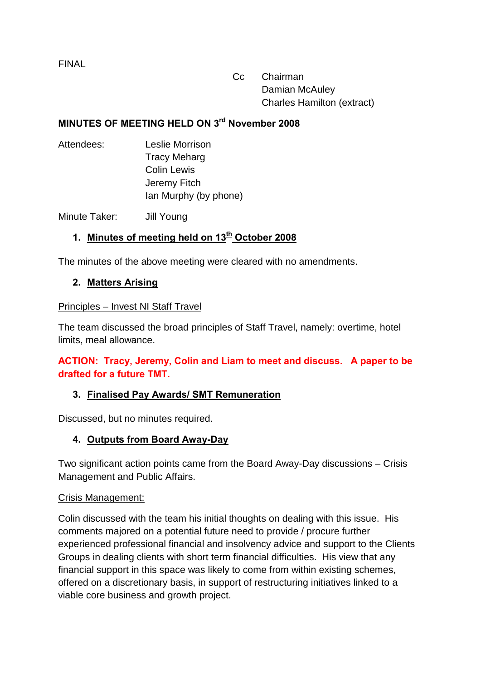Cc Chairman Damian McAuley Charles Hamilton (extract)

## <span id="page-44-0"></span>**MINUTES OF MEETING HELD ON 3rd November 2008**

Attendees: Leslie Morrison Tracy Meharg Colin Lewis Jeremy Fitch Ian Murphy (by phone)

Minute Taker: Jill Young

## **1. Minutes of meeting held on 13th October 2008**

The minutes of the above meeting were cleared with no amendments.

## **2. Matters Arising**

#### Principles – Invest NI Staff Travel

The team discussed the broad principles of Staff Travel, namely: overtime, hotel limits, meal allowance.

## **ACTION: Tracy, Jeremy, Colin and Liam to meet and discuss. A paper to be drafted for a future TMT.**

## **3. Finalised Pay Awards/ SMT Remuneration**

Discussed, but no minutes required.

## **4. Outputs from Board Away-Day**

Two significant action points came from the Board Away-Day discussions – Crisis Management and Public Affairs.

## Crisis Management:

Colin discussed with the team his initial thoughts on dealing with this issue. His comments majored on a potential future need to provide / procure further experienced professional financial and insolvency advice and support to the Clients Groups in dealing clients with short term financial difficulties. His view that any financial support in this space was likely to come from within existing schemes, offered on a discretionary basis, in support of restructuring initiatives linked to a viable core business and growth project.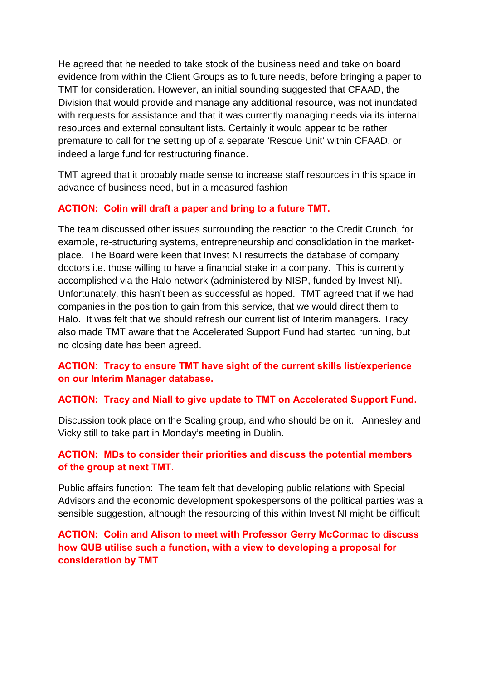He agreed that he needed to take stock of the business need and take on board evidence from within the Client Groups as to future needs, before bringing a paper to TMT for consideration. However, an initial sounding suggested that CFAAD, the Division that would provide and manage any additional resource, was not inundated with requests for assistance and that it was currently managing needs via its internal resources and external consultant lists. Certainly it would appear to be rather premature to call for the setting up of a separate 'Rescue Unit' within CFAAD, or indeed a large fund for restructuring finance.

TMT agreed that it probably made sense to increase staff resources in this space in advance of business need, but in a measured fashion

## **ACTION: Colin will draft a paper and bring to a future TMT.**

The team discussed other issues surrounding the reaction to the Credit Crunch, for example, re-structuring systems, entrepreneurship and consolidation in the marketplace. The Board were keen that Invest NI resurrects the database of company doctors i.e. those willing to have a financial stake in a company. This is currently accomplished via the Halo network (administered by NISP, funded by Invest NI). Unfortunately, this hasn't been as successful as hoped. TMT agreed that if we had companies in the position to gain from this service, that we would direct them to Halo. It was felt that we should refresh our current list of Interim managers. Tracy also made TMT aware that the Accelerated Support Fund had started running, but no closing date has been agreed.

## **ACTION: Tracy to ensure TMT have sight of the current skills list/experience on our Interim Manager database.**

## **ACTION: Tracy and Niall to give update to TMT on Accelerated Support Fund.**

Discussion took place on the Scaling group, and who should be on it. Annesley and Vicky still to take part in Monday's meeting in Dublin.

## **ACTION: MDs to consider their priorities and discuss the potential members of the group at next TMT.**

Public affairs function: The team felt that developing public relations with Special Advisors and the economic development spokespersons of the political parties was a sensible suggestion, although the resourcing of this within Invest NI might be difficult

## **ACTION: Colin and Alison to meet with Professor Gerry McCormac to discuss how QUB utilise such a function, with a view to developing a proposal for consideration by TMT**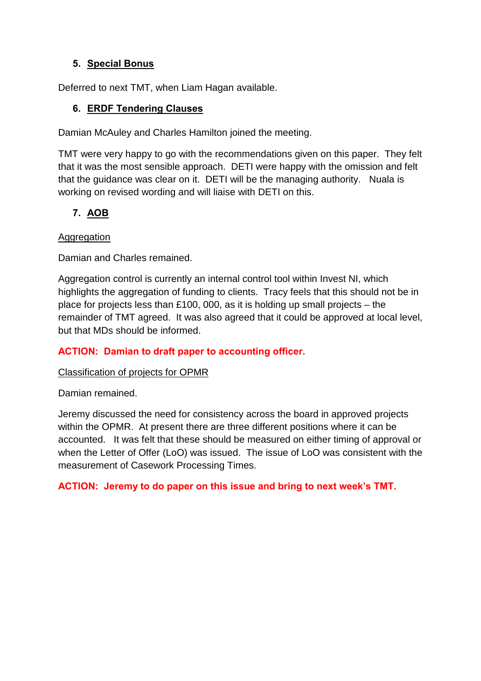## **5. Special Bonus**

Deferred to next TMT, when Liam Hagan available.

## **6. ERDF Tendering Clauses**

Damian McAuley and Charles Hamilton joined the meeting.

TMT were very happy to go with the recommendations given on this paper. They felt that it was the most sensible approach. DETI were happy with the omission and felt that the guidance was clear on it. DETI will be the managing authority. Nuala is working on revised wording and will liaise with DETI on this.

## **7. AOB**

## **Aggregation**

Damian and Charles remained.

Aggregation control is currently an internal control tool within Invest NI, which highlights the aggregation of funding to clients. Tracy feels that this should not be in place for projects less than £100, 000, as it is holding up small projects – the remainder of TMT agreed. It was also agreed that it could be approved at local level, but that MDs should be informed.

## **ACTION: Damian to draft paper to accounting officer.**

## Classification of projects for OPMR

Damian remained.

Jeremy discussed the need for consistency across the board in approved projects within the OPMR. At present there are three different positions where it can be accounted. It was felt that these should be measured on either timing of approval or when the Letter of Offer (LoO) was issued. The issue of LoO was consistent with the measurement of Casework Processing Times.

**ACTION: Jeremy to do paper on this issue and bring to next week's TMT.**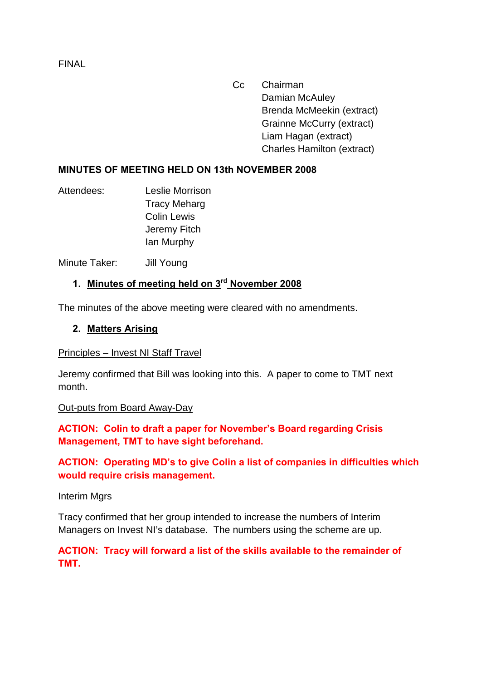Cc Chairman Damian McAuley Brenda McMeekin (extract) Grainne McCurry (extract) Liam Hagan (extract) Charles Hamilton (extract)

## <span id="page-47-0"></span>**MINUTES OF MEETING HELD ON 13th NOVEMBER 2008**

Attendees: Leslie Morrison Tracy Meharg Colin Lewis Jeremy Fitch Ian Murphy

Minute Taker: Jill Young

## **1. Minutes of meeting held on 3rd November 2008**

The minutes of the above meeting were cleared with no amendments.

## **2. Matters Arising**

#### Principles – Invest NI Staff Travel

Jeremy confirmed that Bill was looking into this. A paper to come to TMT next month.

#### Out-puts from Board Away-Day

**ACTION: Colin to draft a paper for November's Board regarding Crisis Management, TMT to have sight beforehand.**

## **ACTION: Operating MD's to give Colin a list of companies in difficulties which would require crisis management.**

#### Interim Mgrs

Tracy confirmed that her group intended to increase the numbers of Interim Managers on Invest NI's database. The numbers using the scheme are up.

## **ACTION: Tracy will forward a list of the skills available to the remainder of TMT.**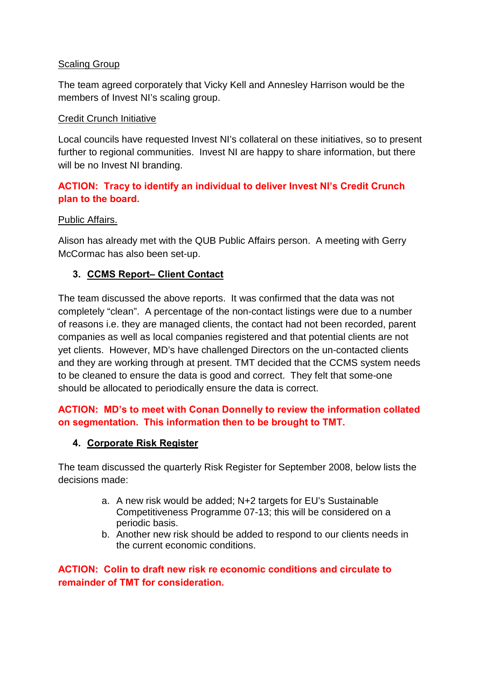#### Scaling Group

The team agreed corporately that Vicky Kell and Annesley Harrison would be the members of Invest NI's scaling group.

#### Credit Crunch Initiative

Local councils have requested Invest NI's collateral on these initiatives, so to present further to regional communities. Invest NI are happy to share information, but there will be no Invest NI branding.

## **ACTION: Tracy to identify an individual to deliver Invest NI's Credit Crunch plan to the board.**

#### Public Affairs.

Alison has already met with the QUB Public Affairs person. A meeting with Gerry McCormac has also been set-up.

## **3. CCMS Report– Client Contact**

The team discussed the above reports. It was confirmed that the data was not completely "clean". A percentage of the non-contact listings were due to a number of reasons i.e. they are managed clients, the contact had not been recorded, parent companies as well as local companies registered and that potential clients are not yet clients. However, MD's have challenged Directors on the un-contacted clients and they are working through at present. TMT decided that the CCMS system needs to be cleaned to ensure the data is good and correct. They felt that some-one should be allocated to periodically ensure the data is correct.

## **ACTION: MD's to meet with Conan Donnelly to review the information collated on segmentation. This information then to be brought to TMT.**

## **4. Corporate Risk Register**

The team discussed the quarterly Risk Register for September 2008, below lists the decisions made:

- a. A new risk would be added; N+2 targets for EU's Sustainable Competitiveness Programme 07-13; this will be considered on a periodic basis.
- b. Another new risk should be added to respond to our clients needs in the current economic conditions.

## **ACTION: Colin to draft new risk re economic conditions and circulate to remainder of TMT for consideration.**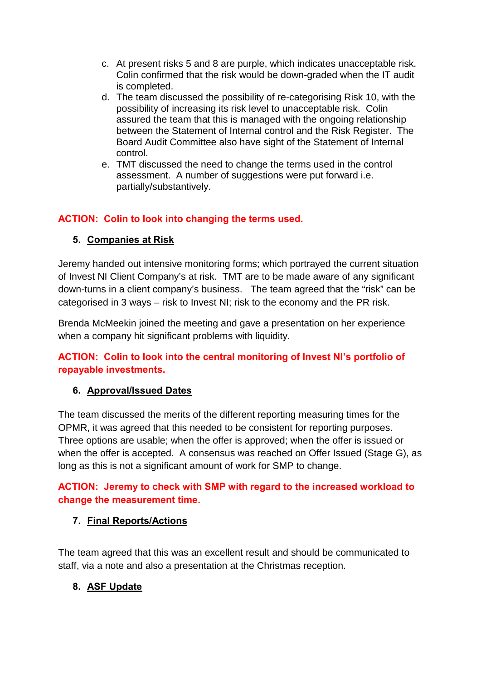- c. At present risks 5 and 8 are purple, which indicates unacceptable risk. Colin confirmed that the risk would be down-graded when the IT audit is completed.
- d. The team discussed the possibility of re-categorising Risk 10, with the possibility of increasing its risk level to unacceptable risk. Colin assured the team that this is managed with the ongoing relationship between the Statement of Internal control and the Risk Register. The Board Audit Committee also have sight of the Statement of Internal control.
- e. TMT discussed the need to change the terms used in the control assessment. A number of suggestions were put forward i.e. partially/substantively.

## **ACTION: Colin to look into changing the terms used.**

## **5. Companies at Risk**

Jeremy handed out intensive monitoring forms; which portrayed the current situation of Invest NI Client Company's at risk. TMT are to be made aware of any significant down-turns in a client company's business. The team agreed that the "risk" can be categorised in 3 ways – risk to Invest NI; risk to the economy and the PR risk.

Brenda McMeekin joined the meeting and gave a presentation on her experience when a company hit significant problems with liquidity.

**ACTION: Colin to look into the central monitoring of Invest NI's portfolio of repayable investments.** 

## **6. Approval/Issued Dates**

The team discussed the merits of the different reporting measuring times for the OPMR, it was agreed that this needed to be consistent for reporting purposes. Three options are usable; when the offer is approved; when the offer is issued or when the offer is accepted. A consensus was reached on Offer Issued (Stage G), as long as this is not a significant amount of work for SMP to change.

**ACTION: Jeremy to check with SMP with regard to the increased workload to change the measurement time.** 

## **7. Final Reports/Actions**

The team agreed that this was an excellent result and should be communicated to staff, via a note and also a presentation at the Christmas reception.

## **8. ASF Update**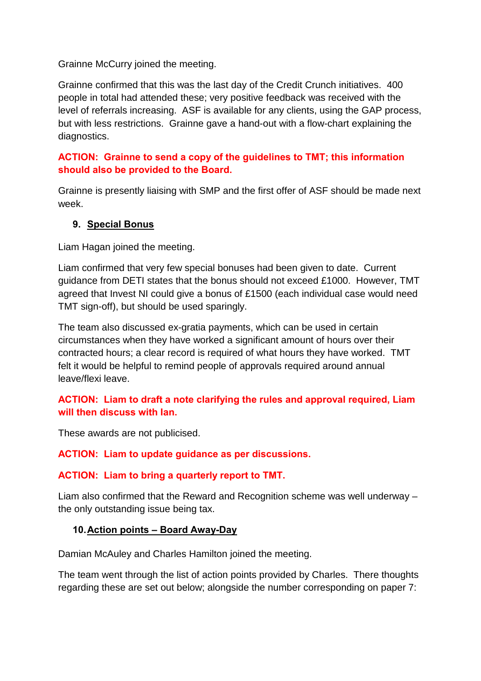Grainne McCurry joined the meeting.

Grainne confirmed that this was the last day of the Credit Crunch initiatives. 400 people in total had attended these; very positive feedback was received with the level of referrals increasing. ASF is available for any clients, using the GAP process, but with less restrictions. Grainne gave a hand-out with a flow-chart explaining the diagnostics.

## **ACTION: Grainne to send a copy of the guidelines to TMT; this information should also be provided to the Board.**

Grainne is presently liaising with SMP and the first offer of ASF should be made next week.

## **9. Special Bonus**

Liam Hagan joined the meeting.

Liam confirmed that very few special bonuses had been given to date. Current guidance from DETI states that the bonus should not exceed £1000. However, TMT agreed that Invest NI could give a bonus of £1500 (each individual case would need TMT sign-off), but should be used sparingly.

The team also discussed ex-gratia payments, which can be used in certain circumstances when they have worked a significant amount of hours over their contracted hours; a clear record is required of what hours they have worked. TMT felt it would be helpful to remind people of approvals required around annual leave/flexi leave.

## **ACTION: Liam to draft a note clarifying the rules and approval required, Liam will then discuss with Ian.**

These awards are not publicised.

**ACTION: Liam to update guidance as per discussions.** 

## **ACTION: Liam to bring a quarterly report to TMT.**

Liam also confirmed that the Reward and Recognition scheme was well underway – the only outstanding issue being tax.

## **10.Action points – Board Away-Day**

Damian McAuley and Charles Hamilton joined the meeting.

The team went through the list of action points provided by Charles. There thoughts regarding these are set out below; alongside the number corresponding on paper 7: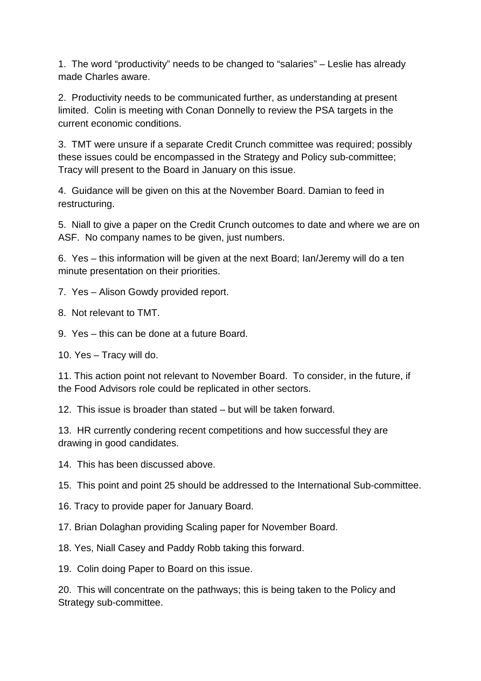1. The word "productivity" needs to be changed to "salaries" – Leslie has already made Charles aware.

2. Productivity needs to be communicated further, as understanding at present limited. Colin is meeting with Conan Donnelly to review the PSA targets in the current economic conditions.

3. TMT were unsure if a separate Credit Crunch committee was required; possibly these issues could be encompassed in the Strategy and Policy sub-committee; Tracy will present to the Board in January on this issue.

4. Guidance will be given on this at the November Board. Damian to feed in restructuring.

5. Niall to give a paper on the Credit Crunch outcomes to date and where we are on ASF. No company names to be given, just numbers.

6. Yes – this information will be given at the next Board; Ian/Jeremy will do a ten minute presentation on their priorities.

7. Yes – Alison Gowdy provided report.

8. Not relevant to TMT.

9. Yes – this can be done at a future Board.

10. Yes – Tracy will do.

11. This action point not relevant to November Board. To consider, in the future, if the Food Advisors role could be replicated in other sectors.

12. This issue is broader than stated – but will be taken forward.

13. HR currently condering recent competitions and how successful they are drawing in good candidates.

14. This has been discussed above.

15. This point and point 25 should be addressed to the International Sub-committee.

16. Tracy to provide paper for January Board.

17. Brian Dolaghan providing Scaling paper for November Board.

18. Yes, Niall Casey and Paddy Robb taking this forward.

19. Colin doing Paper to Board on this issue.

20. This will concentrate on the pathways; this is being taken to the Policy and Strategy sub-committee.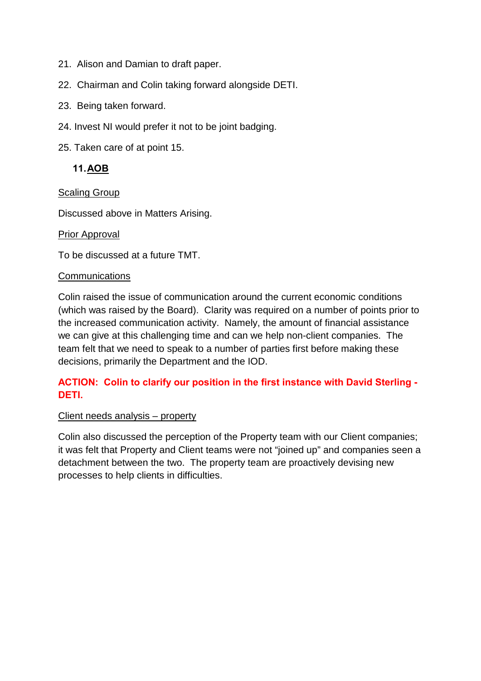- 21. Alison and Damian to draft paper.
- 22. Chairman and Colin taking forward alongside DETI.
- 23. Being taken forward.
- 24. Invest NI would prefer it not to be joint badging.
- 25. Taken care of at point 15.

## **11.AOB**

#### Scaling Group

Discussed above in Matters Arising.

#### Prior Approval

To be discussed at a future TMT.

#### **Communications**

Colin raised the issue of communication around the current economic conditions (which was raised by the Board). Clarity was required on a number of points prior to the increased communication activity. Namely, the amount of financial assistance we can give at this challenging time and can we help non-client companies. The team felt that we need to speak to a number of parties first before making these decisions, primarily the Department and the IOD.

## **ACTION: Colin to clarify our position in the first instance with David Sterling - DETI.**

#### Client needs analysis – property

Colin also discussed the perception of the Property team with our Client companies; it was felt that Property and Client teams were not "joined up" and companies seen a detachment between the two. The property team are proactively devising new processes to help clients in difficulties.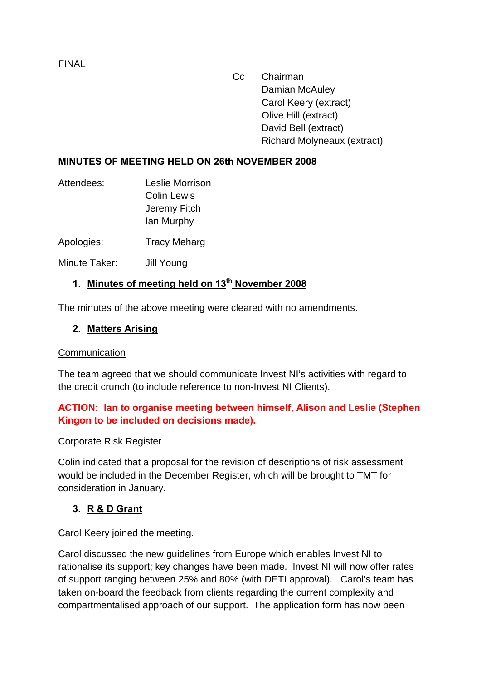Cc Chairman Damian McAuley Carol Keery (extract) Olive Hill (extract) David Bell (extract) Richard Molyneaux (extract)

#### <span id="page-53-0"></span>**MINUTES OF MEETING HELD ON 26th NOVEMBER 2008**

- Attendees: Leslie Morrison Colin Lewis Jeremy Fitch Ian Murphy
- Apologies: Tracy Meharg

Minute Taker: Jill Young

## **1. Minutes of meeting held on 13th November 2008**

The minutes of the above meeting were cleared with no amendments.

#### **2. Matters Arising**

#### **Communication**

The team agreed that we should communicate Invest NI's activities with regard to the credit crunch (to include reference to non-Invest NI Clients).

## **ACTION: Ian to organise meeting between himself, Alison and Leslie (Stephen Kingon to be included on decisions made).**

#### Corporate Risk Register

Colin indicated that a proposal for the revision of descriptions of risk assessment would be included in the December Register, which will be brought to TMT for consideration in January.

## **3. R & D Grant**

Carol Keery joined the meeting.

Carol discussed the new guidelines from Europe which enables Invest NI to rationalise its support; key changes have been made. Invest NI will now offer rates of support ranging between 25% and 80% (with DETI approval). Carol's team has taken on-board the feedback from clients regarding the current complexity and compartmentalised approach of our support. The application form has now been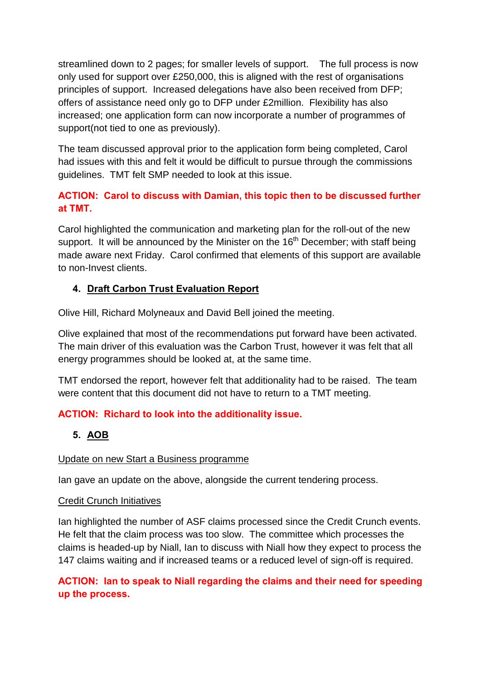streamlined down to 2 pages; for smaller levels of support. The full process is now only used for support over £250,000, this is aligned with the rest of organisations principles of support. Increased delegations have also been received from DFP; offers of assistance need only go to DFP under £2million. Flexibility has also increased; one application form can now incorporate a number of programmes of support(not tied to one as previously).

The team discussed approval prior to the application form being completed, Carol had issues with this and felt it would be difficult to pursue through the commissions guidelines. TMT felt SMP needed to look at this issue.

## **ACTION: Carol to discuss with Damian, this topic then to be discussed further at TMT.**

Carol highlighted the communication and marketing plan for the roll-out of the new support. It will be announced by the Minister on the  $16<sup>th</sup>$  December; with staff being made aware next Friday. Carol confirmed that elements of this support are available to non-Invest clients.

## **4. Draft Carbon Trust Evaluation Report**

Olive Hill, Richard Molyneaux and David Bell joined the meeting.

Olive explained that most of the recommendations put forward have been activated. The main driver of this evaluation was the Carbon Trust, however it was felt that all energy programmes should be looked at, at the same time.

TMT endorsed the report, however felt that additionality had to be raised. The team were content that this document did not have to return to a TMT meeting.

## **ACTION: Richard to look into the additionality issue.**

## **5. AOB**

## Update on new Start a Business programme

Ian gave an update on the above, alongside the current tendering process.

## Credit Crunch Initiatives

Ian highlighted the number of ASF claims processed since the Credit Crunch events. He felt that the claim process was too slow. The committee which processes the claims is headed-up by Niall, Ian to discuss with Niall how they expect to process the 147 claims waiting and if increased teams or a reduced level of sign-off is required.

## **ACTION: Ian to speak to Niall regarding the claims and their need for speeding up the process.**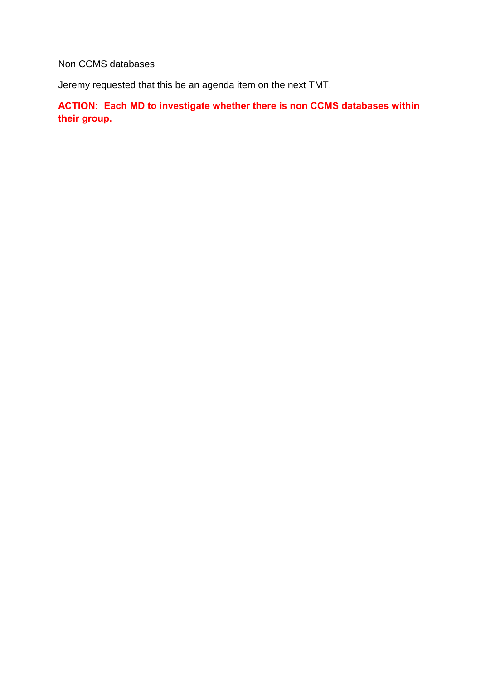# Non CCMS databases

Jeremy requested that this be an agenda item on the next TMT.

**ACTION: Each MD to investigate whether there is non CCMS databases within their group.**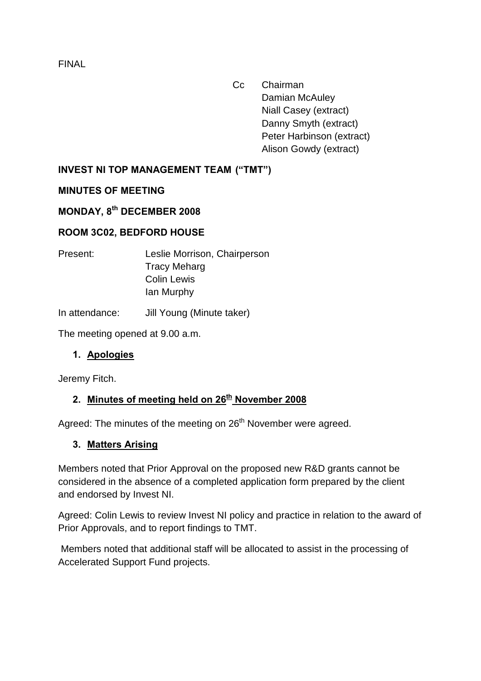Cc Chairman Damian McAuley Niall Casey (extract) Danny Smyth (extract) Peter Harbinson (extract) Alison Gowdy (extract)

## <span id="page-56-0"></span>**INVEST NI TOP MANAGEMENT TEAM ("TMT")**

**MINUTES OF MEETING**

# **MONDAY, 8th DECEMBER 2008**

## **ROOM 3C02, BEDFORD HOUSE**

Present: Leslie Morrison, Chairperson Tracy Meharg Colin Lewis Ian Murphy

In attendance: Jill Young (Minute taker)

The meeting opened at 9.00 a.m.

## **1. Apologies**

Jeremy Fitch.

## **2. Minutes of meeting held on 26th November 2008**

Agreed: The minutes of the meeting on 26<sup>th</sup> November were agreed.

## **3. Matters Arising**

Members noted that Prior Approval on the proposed new R&D grants cannot be considered in the absence of a completed application form prepared by the client and endorsed by Invest NI.

Agreed: Colin Lewis to review Invest NI policy and practice in relation to the award of Prior Approvals, and to report findings to TMT.

Members noted that additional staff will be allocated to assist in the processing of Accelerated Support Fund projects.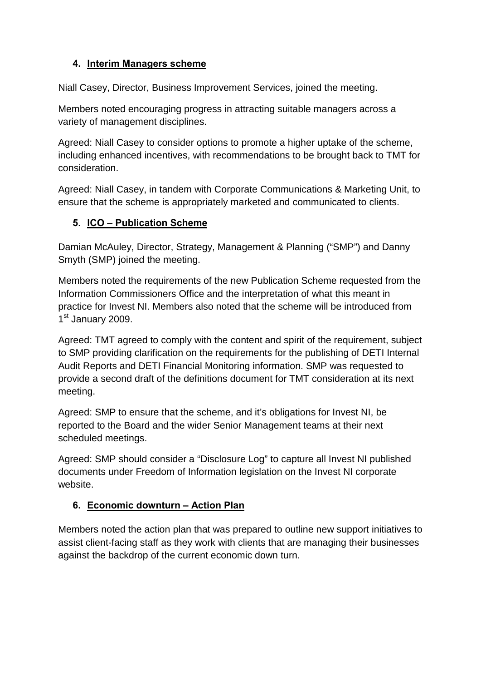## **4. Interim Managers scheme**

Niall Casey, Director, Business Improvement Services, joined the meeting.

Members noted encouraging progress in attracting suitable managers across a variety of management disciplines.

Agreed: Niall Casey to consider options to promote a higher uptake of the scheme, including enhanced incentives, with recommendations to be brought back to TMT for consideration.

Agreed: Niall Casey, in tandem with Corporate Communications & Marketing Unit, to ensure that the scheme is appropriately marketed and communicated to clients.

## **5. ICO – Publication Scheme**

Damian McAuley, Director, Strategy, Management & Planning ("SMP") and Danny Smyth (SMP) joined the meeting.

Members noted the requirements of the new Publication Scheme requested from the Information Commissioners Office and the interpretation of what this meant in practice for Invest NI. Members also noted that the scheme will be introduced from 1<sup>st</sup> January 2009.

Agreed: TMT agreed to comply with the content and spirit of the requirement, subject to SMP providing clarification on the requirements for the publishing of DETI Internal Audit Reports and DETI Financial Monitoring information. SMP was requested to provide a second draft of the definitions document for TMT consideration at its next meeting.

Agreed: SMP to ensure that the scheme, and it's obligations for Invest NI, be reported to the Board and the wider Senior Management teams at their next scheduled meetings.

Agreed: SMP should consider a "Disclosure Log" to capture all Invest NI published documents under Freedom of Information legislation on the Invest NI corporate website.

## **6. Economic downturn – Action Plan**

Members noted the action plan that was prepared to outline new support initiatives to assist client-facing staff as they work with clients that are managing their businesses against the backdrop of the current economic down turn.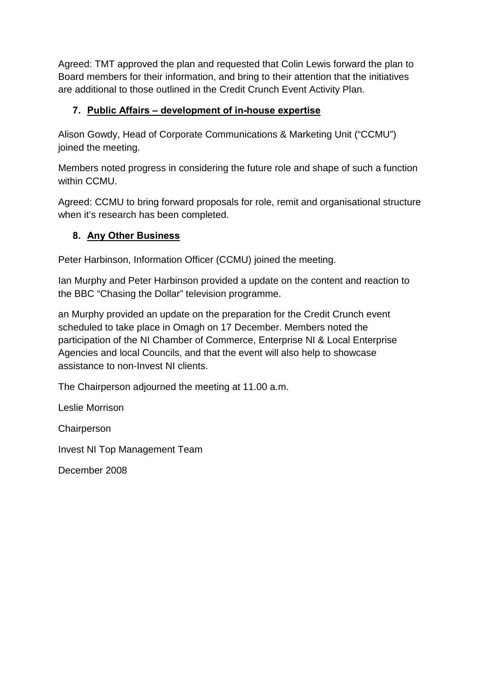Agreed: TMT approved the plan and requested that Colin Lewis forward the plan to Board members for their information, and bring to their attention that the initiatives are additional to those outlined in the Credit Crunch Event Activity Plan.

## **7. Public Affairs – development of in-house expertise**

Alison Gowdy, Head of Corporate Communications & Marketing Unit ("CCMU") joined the meeting.

Members noted progress in considering the future role and shape of such a function within CCMU.

Agreed: CCMU to bring forward proposals for role, remit and organisational structure when it's research has been completed.

## **8. Any Other Business**

Peter Harbinson, Information Officer (CCMU) joined the meeting.

Ian Murphy and Peter Harbinson provided a update on the content and reaction to the BBC "Chasing the Dollar" television programme.

an Murphy provided an update on the preparation for the Credit Crunch event scheduled to take place in Omagh on 17 December. Members noted the participation of the NI Chamber of Commerce, Enterprise NI & Local Enterprise Agencies and local Councils, and that the event will also help to showcase assistance to non-Invest NI clients.

The Chairperson adjourned the meeting at 11.00 a.m.

Leslie Morrison

**Chairperson** 

Invest NI Top Management Team

December 2008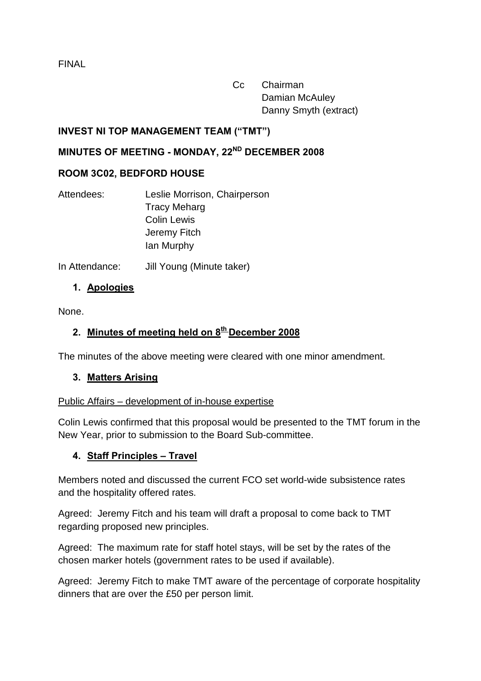Cc Chairman Damian McAuley Danny Smyth (extract)

## <span id="page-59-0"></span>**INVEST NI TOP MANAGEMENT TEAM ("TMT")**

## **MINUTES OF MEETING - MONDAY, 22ND DECEMBER 2008**

## **ROOM 3C02, BEDFORD HOUSE**

| Leslie Morrison, Chairperson |
|------------------------------|
| <b>Tracy Meharg</b>          |
| <b>Colin Lewis</b>           |
| Jeremy Fitch                 |
| lan Murphy                   |
|                              |

In Attendance: Jill Young (Minute taker)

## **1. Apologies**

None.

## **2. Minutes of meeting held on 8th December 2008**

The minutes of the above meeting were cleared with one minor amendment.

## **3. Matters Arising**

## Public Affairs – development of in-house expertise

Colin Lewis confirmed that this proposal would be presented to the TMT forum in the New Year, prior to submission to the Board Sub-committee.

## **4. Staff Principles – Travel**

Members noted and discussed the current FCO set world-wide subsistence rates and the hospitality offered rates.

Agreed: Jeremy Fitch and his team will draft a proposal to come back to TMT regarding proposed new principles.

Agreed: The maximum rate for staff hotel stays, will be set by the rates of the chosen marker hotels (government rates to be used if available).

Agreed: Jeremy Fitch to make TMT aware of the percentage of corporate hospitality dinners that are over the £50 per person limit.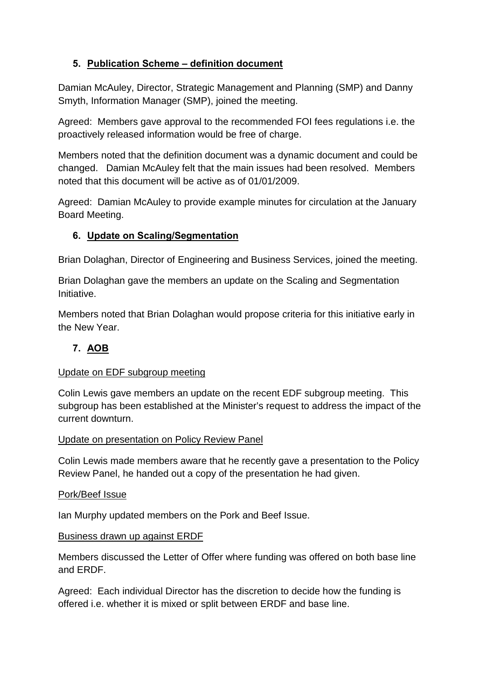## **5. Publication Scheme – definition document**

Damian McAuley, Director, Strategic Management and Planning (SMP) and Danny Smyth, Information Manager (SMP), joined the meeting.

Agreed: Members gave approval to the recommended FOI fees regulations i.e. the proactively released information would be free of charge.

Members noted that the definition document was a dynamic document and could be changed. Damian McAuley felt that the main issues had been resolved. Members noted that this document will be active as of 01/01/2009.

Agreed: Damian McAuley to provide example minutes for circulation at the January Board Meeting.

## **6. Update on Scaling/Segmentation**

Brian Dolaghan, Director of Engineering and Business Services, joined the meeting.

Brian Dolaghan gave the members an update on the Scaling and Segmentation Initiative.

Members noted that Brian Dolaghan would propose criteria for this initiative early in the New Year.

## **7. AOB**

## Update on EDF subgroup meeting

Colin Lewis gave members an update on the recent EDF subgroup meeting. This subgroup has been established at the Minister's request to address the impact of the current downturn.

## Update on presentation on Policy Review Panel

Colin Lewis made members aware that he recently gave a presentation to the Policy Review Panel, he handed out a copy of the presentation he had given.

## Pork/Beef Issue

Ian Murphy updated members on the Pork and Beef Issue.

## Business drawn up against ERDF

Members discussed the Letter of Offer where funding was offered on both base line and ERDF.

Agreed: Each individual Director has the discretion to decide how the funding is offered i.e. whether it is mixed or split between ERDF and base line.